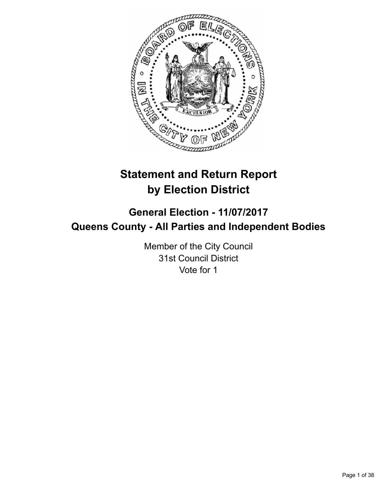

# **Statement and Return Report by Election District**

# **General Election - 11/07/2017 Queens County - All Parties and Independent Bodies**

Member of the City Council 31st Council District Vote for 1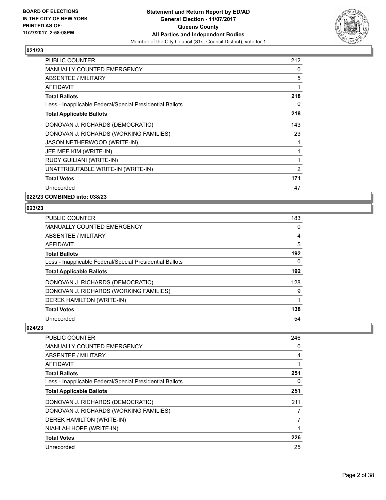

| <b>PUBLIC COUNTER</b>                                    | 212 |
|----------------------------------------------------------|-----|
| <b>MANUALLY COUNTED EMERGENCY</b>                        | 0   |
| ABSENTEE / MILITARY                                      | 5   |
| <b>AFFIDAVIT</b>                                         | 1   |
| <b>Total Ballots</b>                                     | 218 |
| Less - Inapplicable Federal/Special Presidential Ballots | 0   |
| <b>Total Applicable Ballots</b>                          | 218 |
| DONOVAN J. RICHARDS (DEMOCRATIC)                         | 143 |
| DONOVAN J. RICHARDS (WORKING FAMILIES)                   | 23  |
| JASON NETHERWOOD (WRITE-IN)                              | 1   |
| JEE MEE KIM (WRITE-IN)                                   | 1   |
| <b>RUDY GUILIANI (WRITE-IN)</b>                          | 1   |
| UNATTRIBUTABLE WRITE-IN (WRITE-IN)                       | 2   |
| <b>Total Votes</b>                                       | 171 |
| Unrecorded                                               | 47  |

**022/23 COMBINED into: 038/23**

## **023/23**

| <b>PUBLIC COUNTER</b>                                    | 183 |
|----------------------------------------------------------|-----|
| <b>MANUALLY COUNTED EMERGENCY</b>                        | 0   |
| ABSENTEE / MILITARY                                      | 4   |
| AFFIDAVIT                                                | 5   |
| <b>Total Ballots</b>                                     | 192 |
| Less - Inapplicable Federal/Special Presidential Ballots | 0   |
| <b>Total Applicable Ballots</b>                          | 192 |
| DONOVAN J. RICHARDS (DEMOCRATIC)                         | 128 |
| DONOVAN J. RICHARDS (WORKING FAMILIES)                   | 9   |
| DEREK HAMILTON (WRITE-IN)                                |     |
| <b>Total Votes</b>                                       | 138 |
| Unrecorded                                               | 54  |

| <b>PUBLIC COUNTER</b>                                    | 246 |
|----------------------------------------------------------|-----|
| <b>MANUALLY COUNTED EMERGENCY</b>                        | 0   |
| ABSENTEE / MILITARY                                      | 4   |
| AFFIDAVIT                                                |     |
| <b>Total Ballots</b>                                     | 251 |
| Less - Inapplicable Federal/Special Presidential Ballots | 0   |
| <b>Total Applicable Ballots</b>                          | 251 |
| DONOVAN J. RICHARDS (DEMOCRATIC)                         | 211 |
| DONOVAN J. RICHARDS (WORKING FAMILIES)                   | 7   |
| DEREK HAMILTON (WRITE-IN)                                | 7   |
| NIAHLAH HOPE (WRITE-IN)                                  |     |
| <b>Total Votes</b>                                       | 226 |
| Unrecorded                                               | 25  |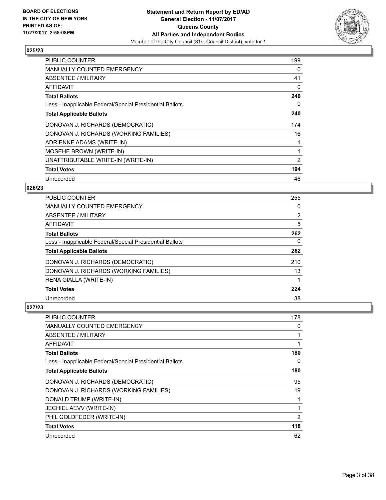

| <b>PUBLIC COUNTER</b>                                    | 199            |
|----------------------------------------------------------|----------------|
| MANUALLY COUNTED EMERGENCY                               | 0              |
| <b>ABSENTEE / MILITARY</b>                               | 41             |
| AFFIDAVIT                                                | 0              |
| <b>Total Ballots</b>                                     | 240            |
| Less - Inapplicable Federal/Special Presidential Ballots | 0              |
| <b>Total Applicable Ballots</b>                          | 240            |
| DONOVAN J. RICHARDS (DEMOCRATIC)                         | 174            |
| DONOVAN J. RICHARDS (WORKING FAMILIES)                   | 16             |
| ADRIENNE ADAMS (WRITE-IN)                                |                |
| MOSEHE BROWN (WRITE-IN)                                  |                |
| UNATTRIBUTABLE WRITE-IN (WRITE-IN)                       | $\overline{2}$ |
| <b>Total Votes</b>                                       | 194            |
| Unrecorded                                               | 46             |

# **026/23**

| <b>PUBLIC COUNTER</b>                                    | 255            |
|----------------------------------------------------------|----------------|
| <b>MANUALLY COUNTED EMERGENCY</b>                        | 0              |
| ABSENTEE / MILITARY                                      | $\overline{2}$ |
| AFFIDAVIT                                                | 5              |
| <b>Total Ballots</b>                                     | 262            |
| Less - Inapplicable Federal/Special Presidential Ballots | 0              |
| <b>Total Applicable Ballots</b>                          | 262            |
| DONOVAN J. RICHARDS (DEMOCRATIC)                         | 210            |
| DONOVAN J. RICHARDS (WORKING FAMILIES)                   | 13             |
| RENA GIALLA (WRITE-IN)                                   |                |
| <b>Total Votes</b>                                       | 224            |
| Unrecorded                                               | 38             |

| <b>PUBLIC COUNTER</b>                                    | 178            |
|----------------------------------------------------------|----------------|
| MANUALLY COUNTED EMERGENCY                               | 0              |
| ABSENTEE / MILITARY                                      | 1              |
| AFFIDAVIT                                                | 1              |
| <b>Total Ballots</b>                                     | 180            |
| Less - Inapplicable Federal/Special Presidential Ballots | 0              |
| <b>Total Applicable Ballots</b>                          | 180            |
| DONOVAN J. RICHARDS (DEMOCRATIC)                         | 95             |
| DONOVAN J. RICHARDS (WORKING FAMILIES)                   | 19             |
| DONALD TRUMP (WRITE-IN)                                  | 1              |
| JECHIEL AEVV (WRITE-IN)                                  | 1              |
| PHIL GOLDFEDER (WRITE-IN)                                | $\overline{2}$ |
| <b>Total Votes</b>                                       | 118            |
| Unrecorded                                               | 62             |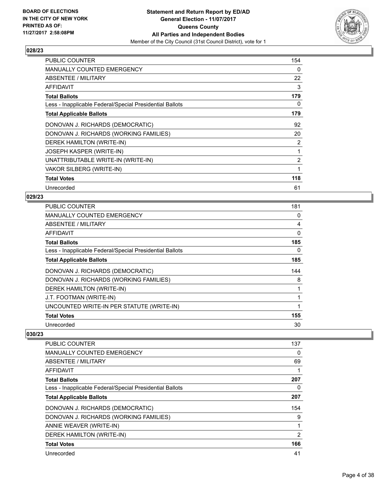

| <b>PUBLIC COUNTER</b>                                    | 154 |
|----------------------------------------------------------|-----|
| <b>MANUALLY COUNTED EMERGENCY</b>                        | 0   |
| ABSENTEE / MILITARY                                      | 22  |
| AFFIDAVIT                                                | 3   |
| <b>Total Ballots</b>                                     | 179 |
| Less - Inapplicable Federal/Special Presidential Ballots | 0   |
| <b>Total Applicable Ballots</b>                          | 179 |
| DONOVAN J. RICHARDS (DEMOCRATIC)                         | 92  |
| DONOVAN J. RICHARDS (WORKING FAMILIES)                   | 20  |
| DEREK HAMILTON (WRITE-IN)                                | 2   |
| <b>JOSEPH KASPER (WRITE-IN)</b>                          | 1   |
| UNATTRIBUTABLE WRITE-IN (WRITE-IN)                       | 2   |
| VAKOR SILBERG (WRITE-IN)                                 | 1   |
| <b>Total Votes</b>                                       | 118 |
| Unrecorded                                               | 61  |

## **029/23**

| <b>PUBLIC COUNTER</b>                                    | 181 |
|----------------------------------------------------------|-----|
| <b>MANUALLY COUNTED EMERGENCY</b>                        | 0   |
| ABSENTEE / MILITARY                                      | 4   |
| AFFIDAVIT                                                | 0   |
| <b>Total Ballots</b>                                     | 185 |
| Less - Inapplicable Federal/Special Presidential Ballots | 0   |
| <b>Total Applicable Ballots</b>                          | 185 |
| DONOVAN J. RICHARDS (DEMOCRATIC)                         | 144 |
| DONOVAN J. RICHARDS (WORKING FAMILIES)                   | 8   |
| DEREK HAMILTON (WRITE-IN)                                |     |
| J.T. FOOTMAN (WRITE-IN)                                  |     |
| UNCOUNTED WRITE-IN PER STATUTE (WRITE-IN)                |     |
| <b>Total Votes</b>                                       | 155 |
| Unrecorded                                               | 30  |

| <b>PUBLIC COUNTER</b>                                    | 137 |
|----------------------------------------------------------|-----|
| <b>MANUALLY COUNTED EMERGENCY</b>                        | 0   |
| ABSENTEE / MILITARY                                      | 69  |
| AFFIDAVIT                                                |     |
| <b>Total Ballots</b>                                     | 207 |
| Less - Inapplicable Federal/Special Presidential Ballots | 0   |
| <b>Total Applicable Ballots</b>                          | 207 |
| DONOVAN J. RICHARDS (DEMOCRATIC)                         | 154 |
| DONOVAN J. RICHARDS (WORKING FAMILIES)                   | 9   |
| ANNIE WEAVER (WRITE-IN)                                  | 1   |
| DEREK HAMILTON (WRITE-IN)                                | 2   |
| <b>Total Votes</b>                                       | 166 |
| Unrecorded                                               | 41  |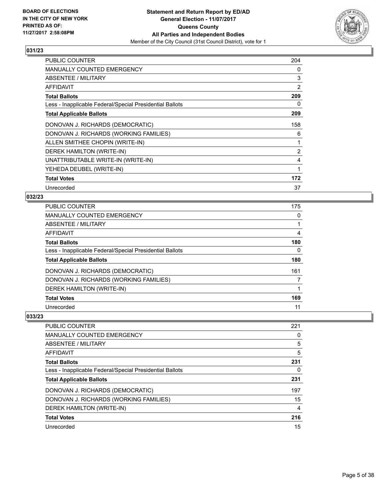

| <b>PUBLIC COUNTER</b>                                    | 204 |
|----------------------------------------------------------|-----|
| <b>MANUALLY COUNTED EMERGENCY</b>                        | 0   |
| ABSENTEE / MILITARY                                      | 3   |
| <b>AFFIDAVIT</b>                                         | 2   |
| <b>Total Ballots</b>                                     | 209 |
| Less - Inapplicable Federal/Special Presidential Ballots | 0   |
| <b>Total Applicable Ballots</b>                          | 209 |
| DONOVAN J. RICHARDS (DEMOCRATIC)                         | 158 |
| DONOVAN J. RICHARDS (WORKING FAMILIES)                   | 6   |
| ALLEN SMITHEE CHOPIN (WRITE-IN)                          | 1   |
| DEREK HAMILTON (WRITE-IN)                                | 2   |
| UNATTRIBUTABLE WRITE-IN (WRITE-IN)                       | 4   |
| YEHEDA DEUBEL (WRITE-IN)                                 | 1   |
| <b>Total Votes</b>                                       | 172 |
| Unrecorded                                               | 37  |

## **032/23**

| <b>PUBLIC COUNTER</b>                                    | 175 |
|----------------------------------------------------------|-----|
| <b>MANUALLY COUNTED EMERGENCY</b>                        | 0   |
| <b>ABSENTEE / MILITARY</b>                               |     |
| <b>AFFIDAVIT</b>                                         | 4   |
| <b>Total Ballots</b>                                     | 180 |
| Less - Inapplicable Federal/Special Presidential Ballots | 0   |
| <b>Total Applicable Ballots</b>                          | 180 |
| DONOVAN J. RICHARDS (DEMOCRATIC)                         | 161 |
| DONOVAN J. RICHARDS (WORKING FAMILIES)                   |     |
| DEREK HAMILTON (WRITE-IN)                                |     |
| <b>Total Votes</b>                                       | 169 |
| Unrecorded                                               | 11  |

| <b>PUBLIC COUNTER</b>                                    | 221 |
|----------------------------------------------------------|-----|
| <b>MANUALLY COUNTED EMERGENCY</b>                        | 0   |
| ABSENTEE / MILITARY                                      | 5   |
| AFFIDAVIT                                                | 5   |
| <b>Total Ballots</b>                                     | 231 |
| Less - Inapplicable Federal/Special Presidential Ballots | 0   |
| <b>Total Applicable Ballots</b>                          | 231 |
| DONOVAN J. RICHARDS (DEMOCRATIC)                         | 197 |
| DONOVAN J. RICHARDS (WORKING FAMILIES)                   | 15  |
| DEREK HAMILTON (WRITE-IN)                                | 4   |
| <b>Total Votes</b>                                       | 216 |
| Unrecorded                                               | 15  |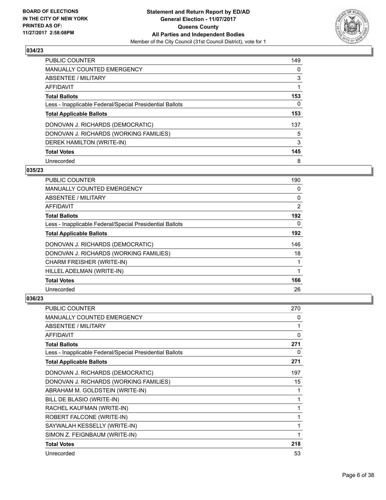

| <b>PUBLIC COUNTER</b>                                    | 149 |
|----------------------------------------------------------|-----|
| <b>MANUALLY COUNTED EMERGENCY</b>                        | 0   |
| ABSENTEE / MILITARY                                      | 3   |
| AFFIDAVIT                                                |     |
| <b>Total Ballots</b>                                     | 153 |
| Less - Inapplicable Federal/Special Presidential Ballots | 0   |
| <b>Total Applicable Ballots</b>                          | 153 |
| DONOVAN J. RICHARDS (DEMOCRATIC)                         | 137 |
| DONOVAN J. RICHARDS (WORKING FAMILIES)                   | 5   |
| DEREK HAMILTON (WRITE-IN)                                | 3   |
| <b>Total Votes</b>                                       | 145 |
| Unrecorded                                               | 8   |

## **035/23**

| <b>PUBLIC COUNTER</b>                                    | 190 |
|----------------------------------------------------------|-----|
| MANUALLY COUNTED EMERGENCY                               | 0   |
| ABSENTEE / MILITARY                                      | 0   |
| AFFIDAVIT                                                | 2   |
| <b>Total Ballots</b>                                     | 192 |
| Less - Inapplicable Federal/Special Presidential Ballots | 0   |
| <b>Total Applicable Ballots</b>                          | 192 |
| DONOVAN J. RICHARDS (DEMOCRATIC)                         | 146 |
| DONOVAN J. RICHARDS (WORKING FAMILIES)                   | 18  |
| CHARM FREISHER (WRITE-IN)                                |     |
| HILLEL ADELMAN (WRITE-IN)                                |     |
| <b>Total Votes</b>                                       | 166 |
| Unrecorded                                               | 26  |

| <b>PUBLIC COUNTER</b>                                    | 270 |
|----------------------------------------------------------|-----|
| <b>MANUALLY COUNTED EMERGENCY</b>                        | 0   |
| ABSENTEE / MILITARY                                      | 1   |
| AFFIDAVIT                                                | 0   |
| <b>Total Ballots</b>                                     | 271 |
| Less - Inapplicable Federal/Special Presidential Ballots | 0   |
| <b>Total Applicable Ballots</b>                          | 271 |
| DONOVAN J. RICHARDS (DEMOCRATIC)                         | 197 |
| DONOVAN J. RICHARDS (WORKING FAMILIES)                   | 15  |
| ABRAHAM M. GOLDSTEIN (WRITE-IN)                          | 1   |
| BILL DE BLASIO (WRITE-IN)                                | 1   |
| RACHEL KAUFMAN (WRITE-IN)                                |     |
| ROBERT FALCONE (WRITE-IN)                                | 1   |
| SAYWALAH KESSELLY (WRITE-IN)                             | 1   |
| SIMON Z. FEIGNBAUM (WRITE-IN)                            | 1   |
| <b>Total Votes</b>                                       | 218 |
| Unrecorded                                               | 53  |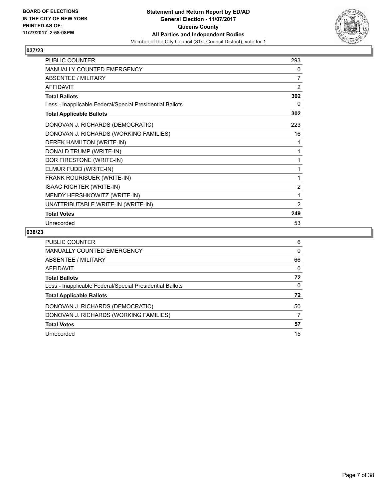

| <b>PUBLIC COUNTER</b>                                    | 293            |
|----------------------------------------------------------|----------------|
| <b>MANUALLY COUNTED EMERGENCY</b>                        | 0              |
| ABSENTEE / MILITARY                                      | 7              |
| AFFIDAVIT                                                | $\overline{2}$ |
| <b>Total Ballots</b>                                     | 302            |
| Less - Inapplicable Federal/Special Presidential Ballots | $\mathbf{0}$   |
| <b>Total Applicable Ballots</b>                          | 302            |
| DONOVAN J. RICHARDS (DEMOCRATIC)                         | 223            |
| DONOVAN J. RICHARDS (WORKING FAMILIES)                   | 16             |
| DEREK HAMILTON (WRITE-IN)                                | 1              |
| DONALD TRUMP (WRITE-IN)                                  | 1              |
| DOR FIRESTONE (WRITE-IN)                                 | 1              |
| ELMUR FUDD (WRITE-IN)                                    | 1              |
| FRANK ROURISUER (WRITE-IN)                               | 1              |
| <b>ISAAC RICHTER (WRITE-IN)</b>                          | $\overline{2}$ |
| MENDY HERSHKOWITZ (WRITE-IN)                             | 1              |
| UNATTRIBUTABLE WRITE-IN (WRITE-IN)                       | $\overline{2}$ |
| <b>Total Votes</b>                                       | 249            |
| Unrecorded                                               | 53             |

| PUBLIC COUNTER                                           | 6  |
|----------------------------------------------------------|----|
| <b>MANUALLY COUNTED EMERGENCY</b>                        | 0  |
| ABSENTEE / MILITARY                                      | 66 |
| AFFIDAVIT                                                | 0  |
| <b>Total Ballots</b>                                     | 72 |
| Less - Inapplicable Federal/Special Presidential Ballots | 0  |
| <b>Total Applicable Ballots</b>                          | 72 |
| DONOVAN J. RICHARDS (DEMOCRATIC)                         | 50 |
| DONOVAN J. RICHARDS (WORKING FAMILIES)                   | 7  |
| <b>Total Votes</b>                                       | 57 |
| Unrecorded                                               | 15 |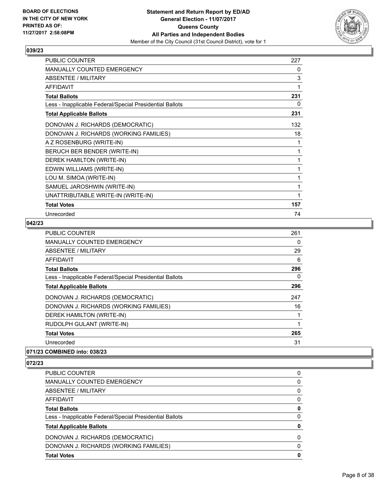

| <b>PUBLIC COUNTER</b>                                    | 227 |
|----------------------------------------------------------|-----|
| MANUALLY COUNTED EMERGENCY                               | 0   |
| ABSENTEE / MILITARY                                      | 3   |
| <b>AFFIDAVIT</b>                                         |     |
| <b>Total Ballots</b>                                     | 231 |
| Less - Inapplicable Federal/Special Presidential Ballots | 0   |
| <b>Total Applicable Ballots</b>                          | 231 |
| DONOVAN J. RICHARDS (DEMOCRATIC)                         | 132 |
| DONOVAN J. RICHARDS (WORKING FAMILIES)                   | 18  |
| A Z ROSENBURG (WRITE-IN)                                 | 1   |
| BERUCH BER BENDER (WRITE-IN)                             |     |
| DEREK HAMILTON (WRITE-IN)                                |     |
| EDWIN WILLIAMS (WRITE-IN)                                |     |
| LOU M. SIMOA (WRITE-IN)                                  | 1   |
| SAMUEL JAROSHWIN (WRITE-IN)                              | 1   |
| UNATTRIBUTABLE WRITE-IN (WRITE-IN)                       |     |
| <b>Total Votes</b>                                       | 157 |
| Unrecorded                                               | 74  |

# **042/23**

| <b>PUBLIC COUNTER</b>                                    | 261 |
|----------------------------------------------------------|-----|
| <b>MANUALLY COUNTED EMERGENCY</b>                        | 0   |
| ABSENTEE / MILITARY                                      | 29  |
| AFFIDAVIT                                                | 6   |
| <b>Total Ballots</b>                                     | 296 |
| Less - Inapplicable Federal/Special Presidential Ballots | 0   |
| <b>Total Applicable Ballots</b>                          | 296 |
| DONOVAN J. RICHARDS (DEMOCRATIC)                         | 247 |
| DONOVAN J. RICHARDS (WORKING FAMILIES)                   | 16  |
| DEREK HAMILTON (WRITE-IN)                                |     |
| RUDOLPH GULANT (WRITE-IN)                                |     |
| <b>Total Votes</b>                                       | 265 |
| Unrecorded                                               | 31  |
|                                                          |     |

## **071/23 COMBINED into: 038/23**

| <b>Total Votes</b>                                       | 0            |
|----------------------------------------------------------|--------------|
|                                                          |              |
| DONOVAN J. RICHARDS (WORKING FAMILIES)                   | $\Omega$     |
| DONOVAN J. RICHARDS (DEMOCRATIC)                         | <sup>0</sup> |
| <b>Total Applicable Ballots</b>                          | 0            |
| Less - Inapplicable Federal/Special Presidential Ballots | 0            |
| <b>Total Ballots</b>                                     | 0            |
| AFFIDAVIT                                                | 0            |
| ABSENTEE / MILITARY                                      | 0            |
| <b>MANUALLY COUNTED EMERGENCY</b>                        | 0            |
| PUBLIC COUNTER                                           | 0            |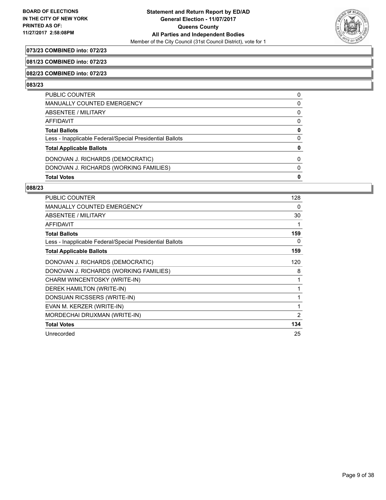

# **073/23 COMBINED into: 072/23**

#### **081/23 COMBINED into: 072/23**

#### **082/23 COMBINED into: 072/23**

#### **083/23**

| PUBLIC COUNTER                                           | 0 |
|----------------------------------------------------------|---|
| <b>MANUALLY COUNTED EMERGENCY</b>                        | 0 |
| ABSENTEE / MILITARY                                      | 0 |
| AFFIDAVIT                                                | 0 |
| <b>Total Ballots</b>                                     | 0 |
| Less - Inapplicable Federal/Special Presidential Ballots | 0 |
| <b>Total Applicable Ballots</b>                          | 0 |
| DONOVAN J. RICHARDS (DEMOCRATIC)                         | 0 |
| DONOVAN J. RICHARDS (WORKING FAMILIES)                   | 0 |
| <b>Total Votes</b>                                       | 0 |

| <b>PUBLIC COUNTER</b>                                    | 128 |
|----------------------------------------------------------|-----|
| <b>MANUALLY COUNTED EMERGENCY</b>                        | 0   |
| ABSENTEE / MILITARY                                      | 30  |
| <b>AFFIDAVIT</b>                                         | 1   |
| <b>Total Ballots</b>                                     | 159 |
| Less - Inapplicable Federal/Special Presidential Ballots | 0   |
| <b>Total Applicable Ballots</b>                          | 159 |
| DONOVAN J. RICHARDS (DEMOCRATIC)                         | 120 |
| DONOVAN J. RICHARDS (WORKING FAMILIES)                   | 8   |
| CHARM WINCENTOSKY (WRITE-IN)                             | 1   |
| DEREK HAMILTON (WRITE-IN)                                | 1   |
| DONSUAN RICSSERS (WRITE-IN)                              | 1   |
| EVAN M. KERZER (WRITE-IN)                                | 1   |
| MORDECHAI DRUXMAN (WRITE-IN)                             | 2   |
| <b>Total Votes</b>                                       | 134 |
| Unrecorded                                               | 25  |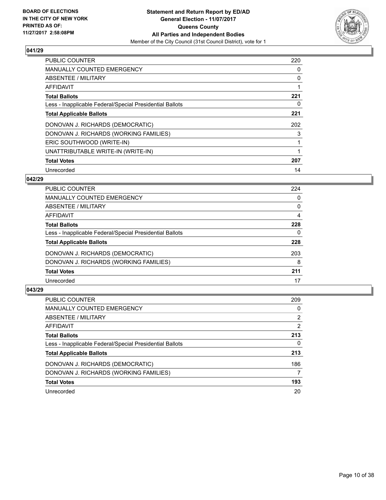

| <b>PUBLIC COUNTER</b>                                    | 220 |
|----------------------------------------------------------|-----|
| <b>MANUALLY COUNTED EMERGENCY</b>                        | 0   |
| ABSENTEE / MILITARY                                      | 0   |
| <b>AFFIDAVIT</b>                                         |     |
| <b>Total Ballots</b>                                     | 221 |
| Less - Inapplicable Federal/Special Presidential Ballots | 0   |
| <b>Total Applicable Ballots</b>                          | 221 |
| DONOVAN J. RICHARDS (DEMOCRATIC)                         | 202 |
| DONOVAN J. RICHARDS (WORKING FAMILIES)                   | 3   |
| ERIC SOUTHWOOD (WRITE-IN)                                |     |
| UNATTRIBUTABLE WRITE-IN (WRITE-IN)                       |     |
| <b>Total Votes</b>                                       | 207 |
| Unrecorded                                               | 14  |

# **042/29**

| <b>PUBLIC COUNTER</b>                                    | 224 |
|----------------------------------------------------------|-----|
| MANUALLY COUNTED EMERGENCY                               | 0   |
| ABSENTEE / MILITARY                                      | 0   |
| AFFIDAVIT                                                | 4   |
| <b>Total Ballots</b>                                     | 228 |
| Less - Inapplicable Federal/Special Presidential Ballots | 0   |
| <b>Total Applicable Ballots</b>                          | 228 |
| DONOVAN J. RICHARDS (DEMOCRATIC)                         | 203 |
| DONOVAN J. RICHARDS (WORKING FAMILIES)                   | 8   |
| <b>Total Votes</b>                                       | 211 |
| Unrecorded                                               | 17  |

| <b>PUBLIC COUNTER</b>                                    | 209 |
|----------------------------------------------------------|-----|
| MANUALLY COUNTED EMERGENCY                               | 0   |
| ABSENTEE / MILITARY                                      | 2   |
| AFFIDAVIT                                                | 2   |
| <b>Total Ballots</b>                                     | 213 |
| Less - Inapplicable Federal/Special Presidential Ballots | 0   |
| <b>Total Applicable Ballots</b>                          | 213 |
| DONOVAN J. RICHARDS (DEMOCRATIC)                         | 186 |
| DONOVAN J. RICHARDS (WORKING FAMILIES)                   | 7   |
| <b>Total Votes</b>                                       | 193 |
| Unrecorded                                               | 20  |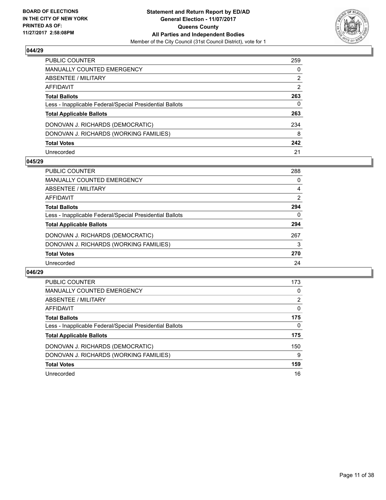

| PUBLIC COUNTER                                           | 259 |
|----------------------------------------------------------|-----|
| MANUALLY COUNTED EMERGENCY                               | 0   |
| ABSENTEE / MILITARY                                      | 2   |
| AFFIDAVIT                                                | 2   |
| <b>Total Ballots</b>                                     | 263 |
| Less - Inapplicable Federal/Special Presidential Ballots | 0   |
| <b>Total Applicable Ballots</b>                          | 263 |
| DONOVAN J. RICHARDS (DEMOCRATIC)                         | 234 |
| DONOVAN J. RICHARDS (WORKING FAMILIES)                   | 8   |
| <b>Total Votes</b>                                       | 242 |
| Unrecorded                                               | 21  |

## **045/29**

| <b>PUBLIC COUNTER</b>                                    | 288 |
|----------------------------------------------------------|-----|
| MANUALLY COUNTED EMERGENCY                               | 0   |
| ABSENTEE / MILITARY                                      | 4   |
| AFFIDAVIT                                                | 2   |
| <b>Total Ballots</b>                                     | 294 |
| Less - Inapplicable Federal/Special Presidential Ballots | 0   |
| <b>Total Applicable Ballots</b>                          | 294 |
| DONOVAN J. RICHARDS (DEMOCRATIC)                         | 267 |
| DONOVAN J. RICHARDS (WORKING FAMILIES)                   | 3   |
| <b>Total Votes</b>                                       | 270 |
| Unrecorded                                               | 24  |

| PUBLIC COUNTER                                           | 173 |
|----------------------------------------------------------|-----|
| <b>MANUALLY COUNTED EMERGENCY</b>                        | 0   |
| ABSENTEE / MILITARY                                      | 2   |
| AFFIDAVIT                                                | 0   |
| <b>Total Ballots</b>                                     | 175 |
| Less - Inapplicable Federal/Special Presidential Ballots | 0   |
| <b>Total Applicable Ballots</b>                          | 175 |
| DONOVAN J. RICHARDS (DEMOCRATIC)                         | 150 |
| DONOVAN J. RICHARDS (WORKING FAMILIES)                   | 9   |
| <b>Total Votes</b>                                       | 159 |
| Unrecorded                                               | 16  |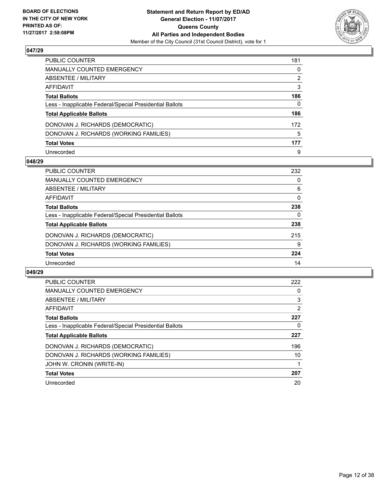

| PUBLIC COUNTER                                           | 181 |
|----------------------------------------------------------|-----|
| MANUALLY COUNTED EMERGENCY                               | 0   |
| ABSENTEE / MILITARY                                      | 2   |
| AFFIDAVIT                                                | 3   |
| Total Ballots                                            | 186 |
| Less - Inapplicable Federal/Special Presidential Ballots | 0   |
| <b>Total Applicable Ballots</b>                          | 186 |
| DONOVAN J. RICHARDS (DEMOCRATIC)                         | 172 |
| DONOVAN J. RICHARDS (WORKING FAMILIES)                   | 5   |
| <b>Total Votes</b>                                       | 177 |
| Unrecorded                                               | 9   |

## **048/29**

| <b>PUBLIC COUNTER</b>                                    | 232 |
|----------------------------------------------------------|-----|
| MANUALLY COUNTED EMERGENCY                               | 0   |
| ABSENTEE / MILITARY                                      | 6   |
| AFFIDAVIT                                                | 0   |
| <b>Total Ballots</b>                                     | 238 |
| Less - Inapplicable Federal/Special Presidential Ballots | 0   |
| <b>Total Applicable Ballots</b>                          | 238 |
| DONOVAN J. RICHARDS (DEMOCRATIC)                         | 215 |
| DONOVAN J. RICHARDS (WORKING FAMILIES)                   | 9   |
| <b>Total Votes</b>                                       | 224 |
| Unrecorded                                               | 14  |

| <b>PUBLIC COUNTER</b>                                    | 222 |
|----------------------------------------------------------|-----|
| <b>MANUALLY COUNTED EMERGENCY</b>                        | 0   |
| ABSENTEE / MILITARY                                      | 3   |
| <b>AFFIDAVIT</b>                                         | 2   |
| <b>Total Ballots</b>                                     | 227 |
| Less - Inapplicable Federal/Special Presidential Ballots | 0   |
| <b>Total Applicable Ballots</b>                          | 227 |
| DONOVAN J. RICHARDS (DEMOCRATIC)                         | 196 |
| DONOVAN J. RICHARDS (WORKING FAMILIES)                   | 10  |
| JOHN W. CRONIN (WRITE-IN)                                |     |
| <b>Total Votes</b>                                       | 207 |
| Unrecorded                                               | 20  |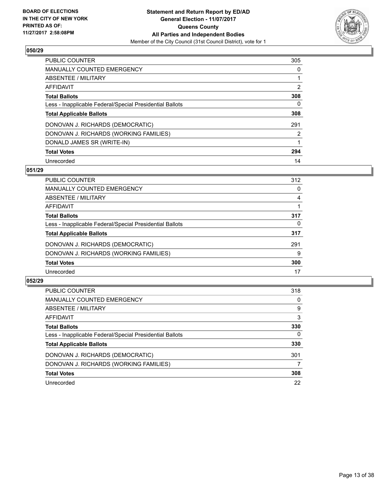

| <b>PUBLIC COUNTER</b>                                    | 305                   |
|----------------------------------------------------------|-----------------------|
| <b>MANUALLY COUNTED EMERGENCY</b>                        | 0                     |
| ABSENTEE / MILITARY                                      |                       |
| AFFIDAVIT                                                | $\overline{2}$        |
| <b>Total Ballots</b>                                     | 308                   |
| Less - Inapplicable Federal/Special Presidential Ballots | 0                     |
| <b>Total Applicable Ballots</b>                          | 308                   |
| DONOVAN J. RICHARDS (DEMOCRATIC)                         | 291                   |
| DONOVAN J. RICHARDS (WORKING FAMILIES)                   | $\mathbf{2}^{\prime}$ |
| DONALD JAMES SR (WRITE-IN)                               |                       |
| <b>Total Votes</b>                                       | 294                   |
| Unrecorded                                               | 14                    |

#### **051/29**

| <b>PUBLIC COUNTER</b>                                    | 312 |
|----------------------------------------------------------|-----|
| MANUALLY COUNTED EMERGENCY                               | 0   |
| ABSENTEE / MILITARY                                      | 4   |
| AFFIDAVIT                                                |     |
| <b>Total Ballots</b>                                     | 317 |
| Less - Inapplicable Federal/Special Presidential Ballots | 0   |
| <b>Total Applicable Ballots</b>                          | 317 |
| DONOVAN J. RICHARDS (DEMOCRATIC)                         | 291 |
| DONOVAN J. RICHARDS (WORKING FAMILIES)                   | 9   |
| <b>Total Votes</b>                                       | 300 |
| Unrecorded                                               | 17  |

| <b>PUBLIC COUNTER</b>                                    | 318      |
|----------------------------------------------------------|----------|
| MANUALLY COUNTED EMERGENCY                               | 0        |
| ABSENTEE / MILITARY                                      | 9        |
| AFFIDAVIT                                                | 3        |
| <b>Total Ballots</b>                                     | 330      |
| Less - Inapplicable Federal/Special Presidential Ballots | $\Omega$ |
| <b>Total Applicable Ballots</b>                          | 330      |
| DONOVAN J. RICHARDS (DEMOCRATIC)                         | 301      |
| DONOVAN J. RICHARDS (WORKING FAMILIES)                   | 7        |
| <b>Total Votes</b>                                       | 308      |
| Unrecorded                                               | 22       |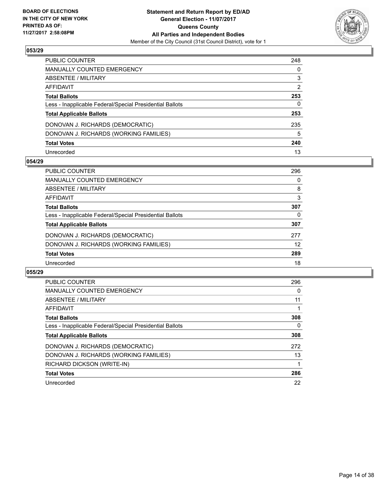

| PUBLIC COUNTER                                           | 248            |
|----------------------------------------------------------|----------------|
| MANUALLY COUNTED EMERGENCY                               | 0              |
| ABSENTEE / MILITARY                                      | 3              |
| AFFIDAVIT                                                | $\overline{2}$ |
| <b>Total Ballots</b>                                     | 253            |
| Less - Inapplicable Federal/Special Presidential Ballots | 0              |
| <b>Total Applicable Ballots</b>                          | 253            |
| DONOVAN J. RICHARDS (DEMOCRATIC)                         | 235            |
| DONOVAN J. RICHARDS (WORKING FAMILIES)                   | 5              |
| <b>Total Votes</b>                                       | 240            |
| Unrecorded                                               | 13             |

## **054/29**

| <b>PUBLIC COUNTER</b>                                    | 296 |
|----------------------------------------------------------|-----|
| <b>MANUALLY COUNTED EMERGENCY</b>                        | 0   |
| ABSENTEE / MILITARY                                      | 8   |
| AFFIDAVIT                                                | 3   |
| <b>Total Ballots</b>                                     | 307 |
| Less - Inapplicable Federal/Special Presidential Ballots | 0   |
| <b>Total Applicable Ballots</b>                          | 307 |
| DONOVAN J. RICHARDS (DEMOCRATIC)                         | 277 |
| DONOVAN J. RICHARDS (WORKING FAMILIES)                   | 12  |
| <b>Total Votes</b>                                       | 289 |
| Unrecorded                                               | 18  |

| <b>PUBLIC COUNTER</b>                                    | 296 |
|----------------------------------------------------------|-----|
| <b>MANUALLY COUNTED EMERGENCY</b>                        | 0   |
| ABSENTEE / MILITARY                                      | 11  |
| AFFIDAVIT                                                |     |
| <b>Total Ballots</b>                                     | 308 |
| Less - Inapplicable Federal/Special Presidential Ballots | 0   |
| <b>Total Applicable Ballots</b>                          | 308 |
| DONOVAN J. RICHARDS (DEMOCRATIC)                         | 272 |
| DONOVAN J. RICHARDS (WORKING FAMILIES)                   | 13  |
| RICHARD DICKSON (WRITE-IN)                               |     |
| <b>Total Votes</b>                                       | 286 |
| Unrecorded                                               | 22  |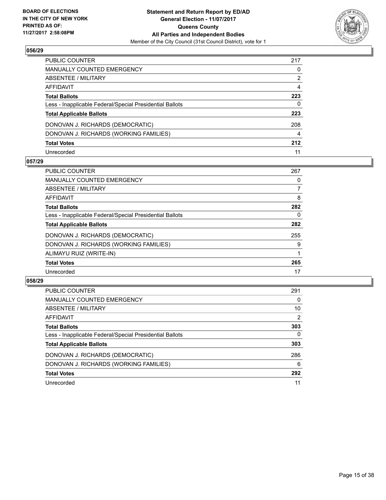

| PUBLIC COUNTER                                           | 217 |
|----------------------------------------------------------|-----|
| MANUALLY COUNTED EMERGENCY                               | 0   |
| ABSENTEE / MILITARY                                      | 2   |
| AFFIDAVIT                                                | 4   |
| <b>Total Ballots</b>                                     | 223 |
| Less - Inapplicable Federal/Special Presidential Ballots | 0   |
| <b>Total Applicable Ballots</b>                          | 223 |
| DONOVAN J. RICHARDS (DEMOCRATIC)                         | 208 |
| DONOVAN J. RICHARDS (WORKING FAMILIES)                   | 4   |
| <b>Total Votes</b>                                       | 212 |
| Unrecorded                                               | 11  |

## **057/29**

| <b>PUBLIC COUNTER</b>                                    | 267 |
|----------------------------------------------------------|-----|
| MANUALLY COUNTED EMERGENCY                               | 0   |
| ABSENTEE / MILITARY                                      | 7   |
| <b>AFFIDAVIT</b>                                         | 8   |
| <b>Total Ballots</b>                                     | 282 |
| Less - Inapplicable Federal/Special Presidential Ballots | 0   |
| <b>Total Applicable Ballots</b>                          | 282 |
| DONOVAN J. RICHARDS (DEMOCRATIC)                         | 255 |
| DONOVAN J. RICHARDS (WORKING FAMILIES)                   | 9   |
| ALIMAYU RUIZ (WRITE-IN)                                  |     |
| <b>Total Votes</b>                                       | 265 |
| Unrecorded                                               | 17  |

| <b>PUBLIC COUNTER</b>                                    | 291            |
|----------------------------------------------------------|----------------|
| MANUALLY COUNTED EMERGENCY                               | 0              |
| ABSENTEE / MILITARY                                      | 10             |
| AFFIDAVIT                                                | $\overline{2}$ |
| <b>Total Ballots</b>                                     | 303            |
| Less - Inapplicable Federal/Special Presidential Ballots | $\mathbf{0}$   |
| <b>Total Applicable Ballots</b>                          | 303            |
| DONOVAN J. RICHARDS (DEMOCRATIC)                         | 286            |
| DONOVAN J. RICHARDS (WORKING FAMILIES)                   | 6              |
| <b>Total Votes</b>                                       | 292            |
| Unrecorded                                               | 11             |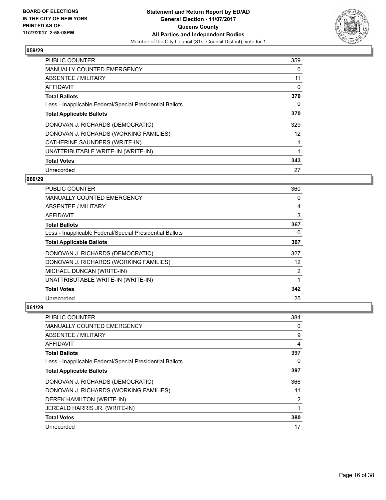

| PUBLIC COUNTER                                           | 359 |
|----------------------------------------------------------|-----|
| <b>MANUALLY COUNTED EMERGENCY</b>                        | 0   |
| ABSENTEE / MILITARY                                      | 11  |
| <b>AFFIDAVIT</b>                                         | 0   |
| <b>Total Ballots</b>                                     | 370 |
| Less - Inapplicable Federal/Special Presidential Ballots | 0   |
| <b>Total Applicable Ballots</b>                          | 370 |
| DONOVAN J. RICHARDS (DEMOCRATIC)                         | 329 |
| DONOVAN J. RICHARDS (WORKING FAMILIES)                   | 12  |
| CATHERINE SAUNDERS (WRITE-IN)                            |     |
| UNATTRIBUTABLE WRITE-IN (WRITE-IN)                       | 1   |
| <b>Total Votes</b>                                       | 343 |
| Unrecorded                                               | 27  |

# **060/29**

| <b>PUBLIC COUNTER</b>                                    | 360 |
|----------------------------------------------------------|-----|
| <b>MANUALLY COUNTED EMERGENCY</b>                        | 0   |
| ABSENTEE / MILITARY                                      | 4   |
| AFFIDAVIT                                                | 3   |
| <b>Total Ballots</b>                                     | 367 |
| Less - Inapplicable Federal/Special Presidential Ballots | 0   |
| <b>Total Applicable Ballots</b>                          | 367 |
| DONOVAN J. RICHARDS (DEMOCRATIC)                         | 327 |
| DONOVAN J. RICHARDS (WORKING FAMILIES)                   | 12  |
| MICHAEL DUNCAN (WRITE-IN)                                | 2   |
| UNATTRIBUTABLE WRITE-IN (WRITE-IN)                       |     |
| <b>Total Votes</b>                                       | 342 |
| Unrecorded                                               | 25  |

| <b>PUBLIC COUNTER</b>                                    | 384            |
|----------------------------------------------------------|----------------|
| <b>MANUALLY COUNTED EMERGENCY</b>                        | 0              |
| ABSENTEE / MILITARY                                      | 9              |
| AFFIDAVIT                                                | 4              |
| <b>Total Ballots</b>                                     | 397            |
| Less - Inapplicable Federal/Special Presidential Ballots | 0              |
| <b>Total Applicable Ballots</b>                          | 397            |
| DONOVAN J. RICHARDS (DEMOCRATIC)                         | 366            |
| DONOVAN J. RICHARDS (WORKING FAMILIES)                   | 11             |
| DEREK HAMILTON (WRITE-IN)                                | $\overline{2}$ |
| JEREALD HARRIS JR. (WRITE-IN)                            | 1              |
| <b>Total Votes</b>                                       | 380            |
| Unrecorded                                               | 17             |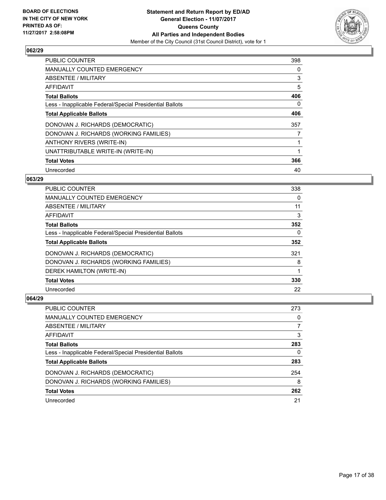

| <b>PUBLIC COUNTER</b>                                    | 398 |
|----------------------------------------------------------|-----|
| <b>MANUALLY COUNTED EMERGENCY</b>                        | 0   |
| ABSENTEE / MILITARY                                      | 3   |
| AFFIDAVIT                                                | 5   |
| <b>Total Ballots</b>                                     | 406 |
| Less - Inapplicable Federal/Special Presidential Ballots | 0   |
| <b>Total Applicable Ballots</b>                          | 406 |
| DONOVAN J. RICHARDS (DEMOCRATIC)                         | 357 |
| DONOVAN J. RICHARDS (WORKING FAMILIES)                   |     |
| ANTHONY RIVERS (WRITE-IN)                                |     |
| UNATTRIBUTABLE WRITE-IN (WRITE-IN)                       | 1   |
| <b>Total Votes</b>                                       | 366 |
| Unrecorded                                               | 40  |

# **063/29**

| <b>PUBLIC COUNTER</b>                                    | 338 |
|----------------------------------------------------------|-----|
| <b>MANUALLY COUNTED EMERGENCY</b>                        | 0   |
| ABSENTEE / MILITARY                                      | 11  |
| <b>AFFIDAVIT</b>                                         | 3   |
| <b>Total Ballots</b>                                     | 352 |
| Less - Inapplicable Federal/Special Presidential Ballots | 0   |
| <b>Total Applicable Ballots</b>                          | 352 |
| DONOVAN J. RICHARDS (DEMOCRATIC)                         | 321 |
| DONOVAN J. RICHARDS (WORKING FAMILIES)                   | 8   |
| DEREK HAMILTON (WRITE-IN)                                |     |
| <b>Total Votes</b>                                       | 330 |
| Unrecorded                                               | 22  |

| <b>PUBLIC COUNTER</b>                                    | 273 |
|----------------------------------------------------------|-----|
| <b>MANUALLY COUNTED EMERGENCY</b>                        | 0   |
| ABSENTEE / MILITARY                                      |     |
| AFFIDAVIT                                                | 3   |
| <b>Total Ballots</b>                                     | 283 |
| Less - Inapplicable Federal/Special Presidential Ballots | 0   |
| <b>Total Applicable Ballots</b>                          | 283 |
| DONOVAN J. RICHARDS (DEMOCRATIC)                         | 254 |
| DONOVAN J. RICHARDS (WORKING FAMILIES)                   | 8   |
| <b>Total Votes</b>                                       | 262 |
| Unrecorded                                               | 21  |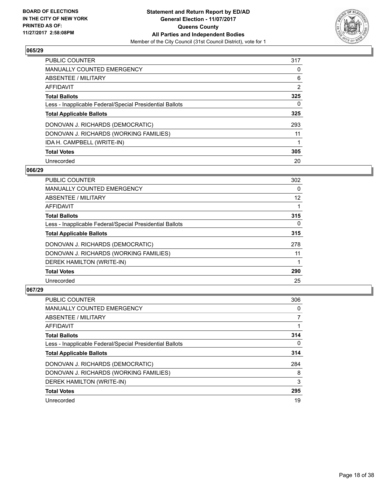

| PUBLIC COUNTER                                           | 317 |
|----------------------------------------------------------|-----|
| <b>MANUALLY COUNTED EMERGENCY</b>                        | 0   |
| ABSENTEE / MILITARY                                      | 6   |
| AFFIDAVIT                                                | 2   |
| <b>Total Ballots</b>                                     | 325 |
| Less - Inapplicable Federal/Special Presidential Ballots | 0   |
| <b>Total Applicable Ballots</b>                          | 325 |
| DONOVAN J. RICHARDS (DEMOCRATIC)                         | 293 |
| DONOVAN J. RICHARDS (WORKING FAMILIES)                   | 11  |
| IDA H. CAMPBELL (WRITE-IN)                               |     |
| <b>Total Votes</b>                                       | 305 |
| Unrecorded                                               | 20  |

## **066/29**

| <b>PUBLIC COUNTER</b>                                    | 302      |
|----------------------------------------------------------|----------|
| MANUALLY COUNTED EMERGENCY                               | 0        |
| ABSENTEE / MILITARY                                      | 12       |
| <b>AFFIDAVIT</b>                                         |          |
| <b>Total Ballots</b>                                     | 315      |
| Less - Inapplicable Federal/Special Presidential Ballots | $\Omega$ |
| <b>Total Applicable Ballots</b>                          | 315      |
| DONOVAN J. RICHARDS (DEMOCRATIC)                         | 278      |
| DONOVAN J. RICHARDS (WORKING FAMILIES)                   | 11       |
| DEREK HAMILTON (WRITE-IN)                                |          |
| <b>Total Votes</b>                                       | 290      |
| Unrecorded                                               | 25       |

| <b>PUBLIC COUNTER</b>                                    | 306 |
|----------------------------------------------------------|-----|
| <b>MANUALLY COUNTED EMERGENCY</b>                        | 0   |
| ABSENTEE / MILITARY                                      |     |
| AFFIDAVIT                                                |     |
| <b>Total Ballots</b>                                     | 314 |
| Less - Inapplicable Federal/Special Presidential Ballots | 0   |
| <b>Total Applicable Ballots</b>                          | 314 |
| DONOVAN J. RICHARDS (DEMOCRATIC)                         | 284 |
| DONOVAN J. RICHARDS (WORKING FAMILIES)                   | 8   |
| DEREK HAMILTON (WRITE-IN)                                | 3   |
| <b>Total Votes</b>                                       | 295 |
| Unrecorded                                               | 19  |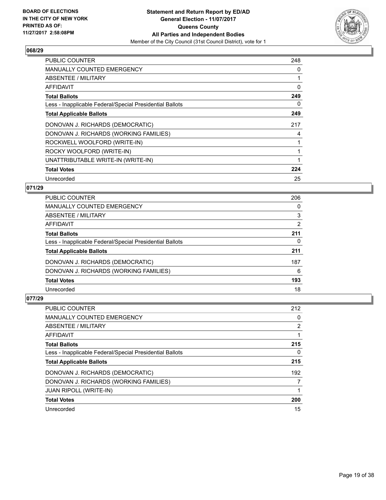

| <b>PUBLIC COUNTER</b>                                    | 248 |
|----------------------------------------------------------|-----|
| <b>MANUALLY COUNTED EMERGENCY</b>                        | 0   |
| ABSENTEE / MILITARY                                      | 1   |
| AFFIDAVIT                                                | 0   |
| <b>Total Ballots</b>                                     | 249 |
| Less - Inapplicable Federal/Special Presidential Ballots | 0   |
| <b>Total Applicable Ballots</b>                          | 249 |
| DONOVAN J. RICHARDS (DEMOCRATIC)                         | 217 |
| DONOVAN J. RICHARDS (WORKING FAMILIES)                   | 4   |
| ROCKWELL WOOLFORD (WRITE-IN)                             | 1   |
| ROCKY WOOLFORD (WRITE-IN)                                | 1   |
| UNATTRIBUTABLE WRITE-IN (WRITE-IN)                       | 1   |
| <b>Total Votes</b>                                       | 224 |
| Unrecorded                                               | 25  |

# **071/29**

| <b>PUBLIC COUNTER</b>                                    | 206 |
|----------------------------------------------------------|-----|
| MANUALLY COUNTED EMERGENCY                               | 0   |
| ABSENTEE / MILITARY                                      | 3   |
| AFFIDAVIT                                                | 2   |
| <b>Total Ballots</b>                                     | 211 |
| Less - Inapplicable Federal/Special Presidential Ballots | 0   |
| <b>Total Applicable Ballots</b>                          | 211 |
| DONOVAN J. RICHARDS (DEMOCRATIC)                         | 187 |
| DONOVAN J. RICHARDS (WORKING FAMILIES)                   | 6   |
| <b>Total Votes</b>                                       | 193 |
| Unrecorded                                               | 18  |

| <b>PUBLIC COUNTER</b>                                    | 212            |
|----------------------------------------------------------|----------------|
| <b>MANUALLY COUNTED EMERGENCY</b>                        | 0              |
| ABSENTEE / MILITARY                                      | $\overline{2}$ |
| AFFIDAVIT                                                |                |
| <b>Total Ballots</b>                                     | 215            |
| Less - Inapplicable Federal/Special Presidential Ballots | 0              |
| <b>Total Applicable Ballots</b>                          | 215            |
| DONOVAN J. RICHARDS (DEMOCRATIC)                         | 192            |
| DONOVAN J. RICHARDS (WORKING FAMILIES)                   |                |
| <b>JUAN RIPOLL (WRITE-IN)</b>                            |                |
| <b>Total Votes</b>                                       | 200            |
| Unrecorded                                               | 15             |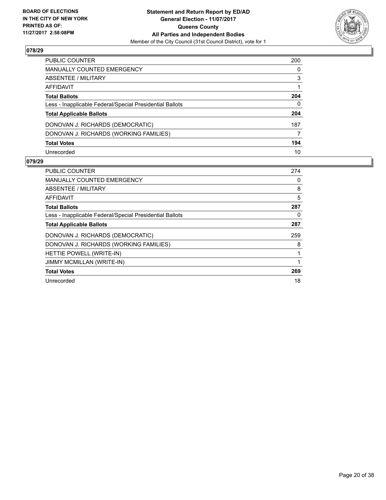

| <b>PUBLIC COUNTER</b>                                    | 200 |
|----------------------------------------------------------|-----|
| <b>MANUALLY COUNTED EMERGENCY</b>                        | 0   |
| <b>ABSENTEE / MILITARY</b>                               | 3   |
| AFFIDAVIT                                                |     |
| <b>Total Ballots</b>                                     | 204 |
| Less - Inapplicable Federal/Special Presidential Ballots | 0   |
| <b>Total Applicable Ballots</b>                          | 204 |
| DONOVAN J. RICHARDS (DEMOCRATIC)                         | 187 |
| DONOVAN J. RICHARDS (WORKING FAMILIES)                   |     |
| <b>Total Votes</b>                                       | 194 |
| Unrecorded                                               | 10  |

| <b>PUBLIC COUNTER</b>                                    | 274 |
|----------------------------------------------------------|-----|
| <b>MANUALLY COUNTED EMERGENCY</b>                        | 0   |
| ABSENTEE / MILITARY                                      | 8   |
| AFFIDAVIT                                                | 5   |
| <b>Total Ballots</b>                                     | 287 |
| Less - Inapplicable Federal/Special Presidential Ballots | 0   |
| <b>Total Applicable Ballots</b>                          | 287 |
| DONOVAN J. RICHARDS (DEMOCRATIC)                         | 259 |
| DONOVAN J. RICHARDS (WORKING FAMILIES)                   | 8   |
| HETTIE POWELL (WRITE-IN)                                 |     |
| <b>JIMMY MCMILLAN (WRITE-IN)</b>                         |     |
| <b>Total Votes</b>                                       | 269 |
| Unrecorded                                               | 18  |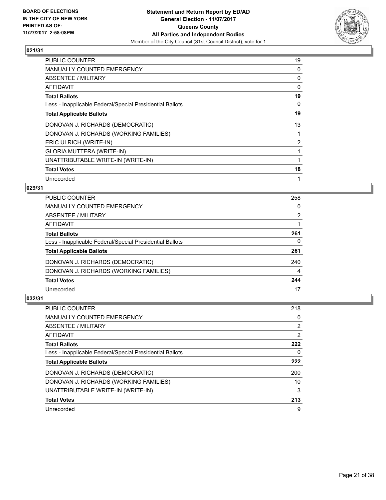

| <b>PUBLIC COUNTER</b>                                    | 19 |
|----------------------------------------------------------|----|
| <b>MANUALLY COUNTED EMERGENCY</b>                        | 0  |
| ABSENTEE / MILITARY                                      | 0  |
| AFFIDAVIT                                                | 0  |
| <b>Total Ballots</b>                                     | 19 |
| Less - Inapplicable Federal/Special Presidential Ballots | 0  |
| <b>Total Applicable Ballots</b>                          | 19 |
| DONOVAN J. RICHARDS (DEMOCRATIC)                         | 13 |
| DONOVAN J. RICHARDS (WORKING FAMILIES)                   |    |
| ERIC ULRICH (WRITE-IN)                                   | 2  |
| <b>GLORIA MUTTERA (WRITE-IN)</b>                         |    |
| UNATTRIBUTABLE WRITE-IN (WRITE-IN)                       |    |
| <b>Total Votes</b>                                       | 18 |
| Unrecorded                                               |    |

# **029/31**

| <b>PUBLIC COUNTER</b>                                    | 258 |
|----------------------------------------------------------|-----|
| MANUALLY COUNTED EMERGENCY                               | 0   |
| ABSENTEE / MILITARY                                      | 2   |
| AFFIDAVIT                                                |     |
| <b>Total Ballots</b>                                     | 261 |
| Less - Inapplicable Federal/Special Presidential Ballots | 0   |
| <b>Total Applicable Ballots</b>                          | 261 |
| DONOVAN J. RICHARDS (DEMOCRATIC)                         | 240 |
| DONOVAN J. RICHARDS (WORKING FAMILIES)                   | 4   |
| <b>Total Votes</b>                                       | 244 |
| Unrecorded                                               | 17  |

| PUBLIC COUNTER                                           | 218            |
|----------------------------------------------------------|----------------|
| <b>MANUALLY COUNTED EMERGENCY</b>                        | 0              |
| ABSENTEE / MILITARY                                      | 2              |
| AFFIDAVIT                                                | $\overline{2}$ |
| <b>Total Ballots</b>                                     | 222            |
| Less - Inapplicable Federal/Special Presidential Ballots | 0              |
| <b>Total Applicable Ballots</b>                          | 222            |
| DONOVAN J. RICHARDS (DEMOCRATIC)                         | 200            |
| DONOVAN J. RICHARDS (WORKING FAMILIES)                   | 10             |
|                                                          |                |
| UNATTRIBUTABLE WRITE-IN (WRITE-IN)                       | 3              |
| <b>Total Votes</b>                                       | 213            |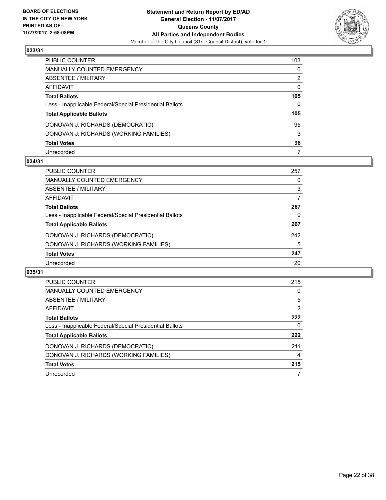

| PUBLIC COUNTER                                           | 103          |
|----------------------------------------------------------|--------------|
| MANUALLY COUNTED EMERGENCY                               | 0            |
| ABSENTEE / MILITARY                                      | 2            |
| AFFIDAVIT                                                | $\mathbf{0}$ |
| <b>Total Ballots</b>                                     | 105          |
| Less - Inapplicable Federal/Special Presidential Ballots | 0            |
| <b>Total Applicable Ballots</b>                          | 105          |
| DONOVAN J. RICHARDS (DEMOCRATIC)                         | 95           |
| DONOVAN J. RICHARDS (WORKING FAMILIES)                   | 3            |
| <b>Total Votes</b>                                       | 98           |
| Unrecorded                                               | 7            |

## **034/31**

| <b>PUBLIC COUNTER</b>                                    | 257 |
|----------------------------------------------------------|-----|
| MANUALLY COUNTED EMERGENCY                               | 0   |
| ABSENTEE / MILITARY                                      | 3   |
| AFFIDAVIT                                                | 7   |
| <b>Total Ballots</b>                                     | 267 |
| Less - Inapplicable Federal/Special Presidential Ballots | 0   |
| <b>Total Applicable Ballots</b>                          | 267 |
| DONOVAN J. RICHARDS (DEMOCRATIC)                         | 242 |
| DONOVAN J. RICHARDS (WORKING FAMILIES)                   | 5   |
| <b>Total Votes</b>                                       | 247 |
| Unrecorded                                               | 20  |

| PUBLIC COUNTER                                           | 215 |
|----------------------------------------------------------|-----|
| <b>MANUALLY COUNTED EMERGENCY</b>                        | 0   |
| ABSENTEE / MILITARY                                      | 5   |
| AFFIDAVIT                                                | 2   |
| <b>Total Ballots</b>                                     | 222 |
| Less - Inapplicable Federal/Special Presidential Ballots | 0   |
| <b>Total Applicable Ballots</b>                          | 222 |
| DONOVAN J. RICHARDS (DEMOCRATIC)                         | 211 |
| DONOVAN J. RICHARDS (WORKING FAMILIES)                   | 4   |
| <b>Total Votes</b>                                       | 215 |
| Unrecorded                                               |     |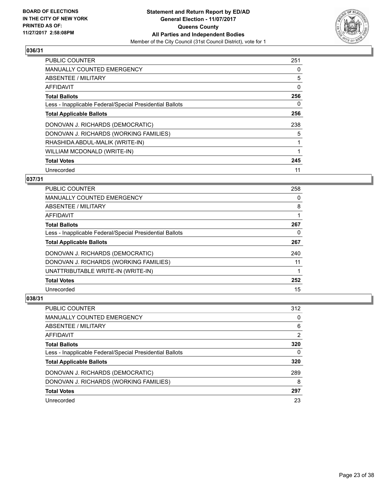

| <b>PUBLIC COUNTER</b>                                    | 251 |
|----------------------------------------------------------|-----|
| MANUALLY COUNTED EMERGENCY                               | 0   |
| ABSENTEE / MILITARY                                      | 5   |
| AFFIDAVIT                                                | 0   |
| <b>Total Ballots</b>                                     | 256 |
| Less - Inapplicable Federal/Special Presidential Ballots | 0   |
| <b>Total Applicable Ballots</b>                          | 256 |
| DONOVAN J. RICHARDS (DEMOCRATIC)                         | 238 |
| DONOVAN J. RICHARDS (WORKING FAMILIES)                   | 5   |
| RHASHIDA ABDUL-MALIK (WRITE-IN)                          |     |
| WILLIAM MCDONALD (WRITE-IN)                              |     |
| <b>Total Votes</b>                                       | 245 |
| Unrecorded                                               | 11  |

# **037/31**

| <b>PUBLIC COUNTER</b>                                    | 258 |
|----------------------------------------------------------|-----|
| <b>MANUALLY COUNTED EMERGENCY</b>                        | 0   |
| ABSENTEE / MILITARY                                      | 8   |
| <b>AFFIDAVIT</b>                                         |     |
| <b>Total Ballots</b>                                     | 267 |
| Less - Inapplicable Federal/Special Presidential Ballots | 0   |
| <b>Total Applicable Ballots</b>                          | 267 |
| DONOVAN J. RICHARDS (DEMOCRATIC)                         | 240 |
| DONOVAN J. RICHARDS (WORKING FAMILIES)                   | 11  |
| UNATTRIBUTABLE WRITE-IN (WRITE-IN)                       |     |
| <b>Total Votes</b>                                       | 252 |
| Unrecorded                                               | 15  |

| <b>PUBLIC COUNTER</b>                                    | 312 |
|----------------------------------------------------------|-----|
| MANUALLY COUNTED EMERGENCY                               | 0   |
| ABSENTEE / MILITARY                                      | 6   |
| AFFIDAVIT                                                | 2   |
| <b>Total Ballots</b>                                     | 320 |
| Less - Inapplicable Federal/Special Presidential Ballots | 0   |
| <b>Total Applicable Ballots</b>                          | 320 |
| DONOVAN J. RICHARDS (DEMOCRATIC)                         | 289 |
| DONOVAN J. RICHARDS (WORKING FAMILIES)                   | 8   |
| <b>Total Votes</b>                                       | 297 |
| Unrecorded                                               | 23  |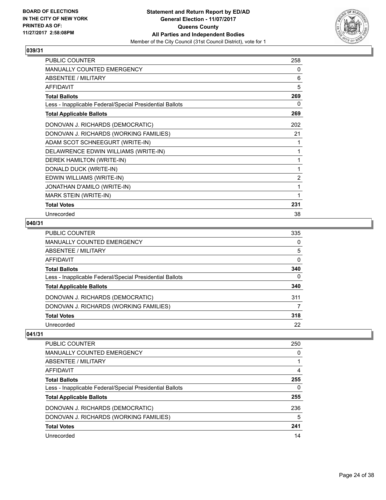

| <b>PUBLIC COUNTER</b>                                    | 258 |
|----------------------------------------------------------|-----|
| MANUALLY COUNTED EMERGENCY                               | 0   |
| ABSENTEE / MILITARY                                      | 6   |
| <b>AFFIDAVIT</b>                                         | 5   |
| <b>Total Ballots</b>                                     | 269 |
| Less - Inapplicable Federal/Special Presidential Ballots | 0   |
| <b>Total Applicable Ballots</b>                          | 269 |
| DONOVAN J. RICHARDS (DEMOCRATIC)                         | 202 |
| DONOVAN J. RICHARDS (WORKING FAMILIES)                   | 21  |
| ADAM SCOT SCHNEEGURT (WRITE-IN)                          |     |
| DELAWRENCE EDWIN WILLIAMS (WRITE-IN)                     |     |
| DEREK HAMILTON (WRITE-IN)                                | 1   |
| DONALD DUCK (WRITE-IN)                                   | 1   |
| EDWIN WILLIAMS (WRITE-IN)                                | 2   |
| JONATHAN D'AMILO (WRITE-IN)                              |     |
| MARK STEIN (WRITE-IN)                                    | 1   |
| <b>Total Votes</b>                                       | 231 |
| Unrecorded                                               | 38  |

# **040/31**

| <b>PUBLIC COUNTER</b>                                    | 335 |
|----------------------------------------------------------|-----|
| <b>MANUALLY COUNTED EMERGENCY</b>                        | 0   |
| ABSENTEE / MILITARY                                      | 5   |
| AFFIDAVIT                                                | 0   |
| <b>Total Ballots</b>                                     | 340 |
| Less - Inapplicable Federal/Special Presidential Ballots | 0   |
| <b>Total Applicable Ballots</b>                          | 340 |
| DONOVAN J. RICHARDS (DEMOCRATIC)                         | 311 |
| DONOVAN J. RICHARDS (WORKING FAMILIES)                   |     |
| <b>Total Votes</b>                                       | 318 |
| Unrecorded                                               | 22  |

| PUBLIC COUNTER                                           | 250 |
|----------------------------------------------------------|-----|
| MANUALLY COUNTED EMERGENCY                               | 0   |
| ABSENTEE / MILITARY                                      |     |
| AFFIDAVIT                                                | 4   |
| <b>Total Ballots</b>                                     | 255 |
| Less - Inapplicable Federal/Special Presidential Ballots | 0   |
| <b>Total Applicable Ballots</b>                          | 255 |
| DONOVAN J. RICHARDS (DEMOCRATIC)                         | 236 |
| DONOVAN J. RICHARDS (WORKING FAMILIES)                   | 5   |
| <b>Total Votes</b>                                       | 241 |
| Unrecorded                                               | 14  |
|                                                          |     |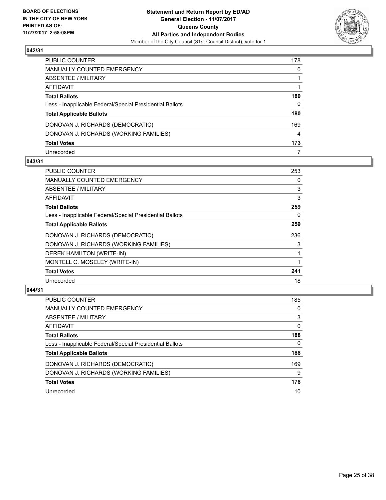

| PUBLIC COUNTER                                           | 178 |
|----------------------------------------------------------|-----|
| MANUALLY COUNTED EMERGENCY                               | 0   |
| ABSENTEE / MILITARY                                      |     |
| AFFIDAVIT                                                |     |
| Total Ballots                                            | 180 |
| Less - Inapplicable Federal/Special Presidential Ballots | 0   |
| <b>Total Applicable Ballots</b>                          | 180 |
| DONOVAN J. RICHARDS (DEMOCRATIC)                         | 169 |
| DONOVAN J. RICHARDS (WORKING FAMILIES)                   | 4   |
| <b>Total Votes</b>                                       | 173 |
| Unrecorded                                               | 7   |

# **043/31**

| <b>PUBLIC COUNTER</b>                                    | 253 |
|----------------------------------------------------------|-----|
| <b>MANUALLY COUNTED EMERGENCY</b>                        | 0   |
| ABSENTEE / MILITARY                                      | 3   |
| AFFIDAVIT                                                | 3   |
| <b>Total Ballots</b>                                     | 259 |
| Less - Inapplicable Federal/Special Presidential Ballots | 0   |
| <b>Total Applicable Ballots</b>                          | 259 |
| DONOVAN J. RICHARDS (DEMOCRATIC)                         | 236 |
| DONOVAN J. RICHARDS (WORKING FAMILIES)                   | 3   |
| DEREK HAMILTON (WRITE-IN)                                |     |
| MONTELL C. MOSELEY (WRITE-IN)                            |     |
| <b>Total Votes</b>                                       | 241 |
| Unrecorded                                               | 18  |

| <b>PUBLIC COUNTER</b>                                    | 185 |
|----------------------------------------------------------|-----|
| MANUALLY COUNTED EMERGENCY                               | 0   |
| ABSENTEE / MILITARY                                      | 3   |
| AFFIDAVIT                                                | 0   |
| <b>Total Ballots</b>                                     | 188 |
| Less - Inapplicable Federal/Special Presidential Ballots | 0   |
| <b>Total Applicable Ballots</b>                          | 188 |
| DONOVAN J. RICHARDS (DEMOCRATIC)                         | 169 |
| DONOVAN J. RICHARDS (WORKING FAMILIES)                   | 9   |
| <b>Total Votes</b>                                       | 178 |
| Unrecorded                                               | 10  |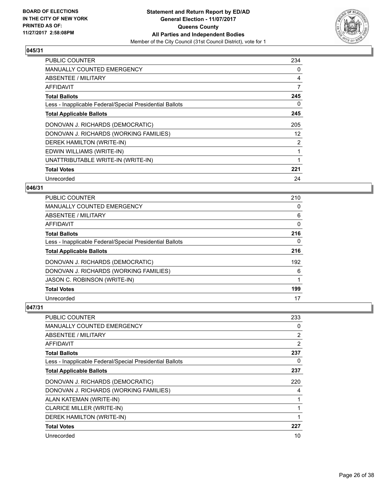

| <b>PUBLIC COUNTER</b>                                    | 234            |
|----------------------------------------------------------|----------------|
| <b>MANUALLY COUNTED EMERGENCY</b>                        | 0              |
| ABSENTEE / MILITARY                                      | 4              |
| AFFIDAVIT                                                | 7              |
| <b>Total Ballots</b>                                     | 245            |
| Less - Inapplicable Federal/Special Presidential Ballots | 0              |
| <b>Total Applicable Ballots</b>                          | 245            |
| DONOVAN J. RICHARDS (DEMOCRATIC)                         | 205            |
| DONOVAN J. RICHARDS (WORKING FAMILIES)                   | 12             |
| DEREK HAMILTON (WRITE-IN)                                | $\overline{2}$ |
| EDWIN WILLIAMS (WRITE-IN)                                |                |
| UNATTRIBUTABLE WRITE-IN (WRITE-IN)                       |                |
| <b>Total Votes</b>                                       | 221            |
| Unrecorded                                               | 24             |

# **046/31**

| PUBLIC COUNTER                                           | 210 |
|----------------------------------------------------------|-----|
| <b>MANUALLY COUNTED EMERGENCY</b>                        | 0   |
| ABSENTEE / MILITARY                                      | 6   |
| AFFIDAVIT                                                | 0   |
| <b>Total Ballots</b>                                     | 216 |
| Less - Inapplicable Federal/Special Presidential Ballots | 0   |
| <b>Total Applicable Ballots</b>                          | 216 |
| DONOVAN J. RICHARDS (DEMOCRATIC)                         | 192 |
| DONOVAN J. RICHARDS (WORKING FAMILIES)                   | 6   |
| JASON C. ROBINSON (WRITE-IN)                             |     |
| <b>Total Votes</b>                                       | 199 |
| Unrecorded                                               | 17  |

| <b>PUBLIC COUNTER</b>                                    | 233            |
|----------------------------------------------------------|----------------|
| MANUALLY COUNTED EMERGENCY                               | 0              |
| ABSENTEE / MILITARY                                      | 2              |
| AFFIDAVIT                                                | $\overline{2}$ |
| <b>Total Ballots</b>                                     | 237            |
| Less - Inapplicable Federal/Special Presidential Ballots | 0              |
| <b>Total Applicable Ballots</b>                          | 237            |
| DONOVAN J. RICHARDS (DEMOCRATIC)                         | 220            |
| DONOVAN J. RICHARDS (WORKING FAMILIES)                   | 4              |
| ALAN KATEMAN (WRITE-IN)                                  | 1              |
| <b>CLARICE MILLER (WRITE-IN)</b>                         | 1              |
| DEREK HAMILTON (WRITE-IN)                                | 1              |
| <b>Total Votes</b>                                       | 227            |
| Unrecorded                                               | 10             |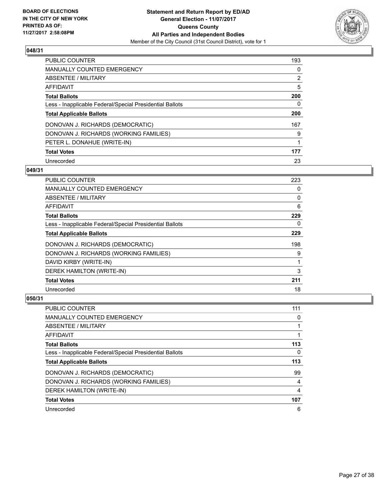

| PUBLIC COUNTER                                           | 193         |
|----------------------------------------------------------|-------------|
| <b>MANUALLY COUNTED EMERGENCY</b>                        | 0           |
| ABSENTEE / MILITARY                                      | 2           |
| AFFIDAVIT                                                | 5           |
| <b>Total Ballots</b>                                     | 200         |
| Less - Inapplicable Federal/Special Presidential Ballots | 0           |
| <b>Total Applicable Ballots</b>                          | 200         |
| DONOVAN J. RICHARDS (DEMOCRATIC)                         | 167         |
| DONOVAN J. RICHARDS (WORKING FAMILIES)                   | 9           |
| PETER L. DONAHUE (WRITE-IN)                              | $\mathbf 1$ |
| <b>Total Votes</b>                                       | 177         |
| Unrecorded                                               | 23          |

## **049/31**

| <b>PUBLIC COUNTER</b>                                    | 223 |
|----------------------------------------------------------|-----|
| <b>MANUALLY COUNTED EMERGENCY</b>                        | 0   |
| ABSENTEE / MILITARY                                      | 0   |
| AFFIDAVIT                                                | 6   |
| <b>Total Ballots</b>                                     | 229 |
| Less - Inapplicable Federal/Special Presidential Ballots | 0   |
| <b>Total Applicable Ballots</b>                          | 229 |
| DONOVAN J. RICHARDS (DEMOCRATIC)                         | 198 |
| DONOVAN J. RICHARDS (WORKING FAMILIES)                   | 9   |
| DAVID KIRBY (WRITE-IN)                                   |     |
| DEREK HAMILTON (WRITE-IN)                                | 3   |
| <b>Total Votes</b>                                       | 211 |
| Unrecorded                                               | 18  |

| <b>PUBLIC COUNTER</b>                                    | 111 |
|----------------------------------------------------------|-----|
| <b>MANUALLY COUNTED EMERGENCY</b>                        | 0   |
| ABSENTEE / MILITARY                                      |     |
| AFFIDAVIT                                                |     |
| <b>Total Ballots</b>                                     | 113 |
| Less - Inapplicable Federal/Special Presidential Ballots | 0   |
|                                                          |     |
| <b>Total Applicable Ballots</b>                          | 113 |
| DONOVAN J. RICHARDS (DEMOCRATIC)                         | 99  |
| DONOVAN J. RICHARDS (WORKING FAMILIES)                   | 4   |
| DEREK HAMILTON (WRITE-IN)                                | 4   |
| <b>Total Votes</b>                                       | 107 |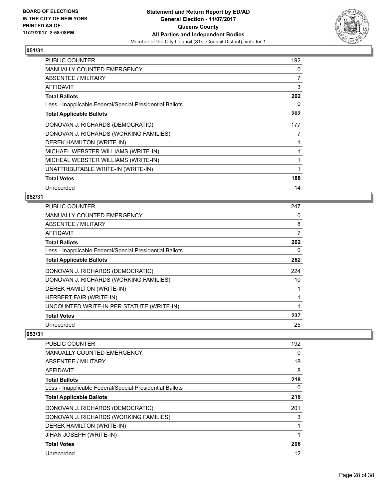

| <b>PUBLIC COUNTER</b>                                    | 192 |
|----------------------------------------------------------|-----|
| <b>MANUALLY COUNTED EMERGENCY</b>                        | 0   |
| ABSENTEE / MILITARY                                      | 7   |
| AFFIDAVIT                                                | 3   |
| <b>Total Ballots</b>                                     | 202 |
| Less - Inapplicable Federal/Special Presidential Ballots | 0   |
| <b>Total Applicable Ballots</b>                          | 202 |
| DONOVAN J. RICHARDS (DEMOCRATIC)                         | 177 |
| DONOVAN J. RICHARDS (WORKING FAMILIES)                   | 7   |
| DEREK HAMILTON (WRITE-IN)                                | 1   |
| MICHAEL WEBSTER WILLIAMS (WRITE-IN)                      | 1   |
| MICHEAL WEBSTER WILLIAMS (WRITE-IN)                      | 1   |
| UNATTRIBUTABLE WRITE-IN (WRITE-IN)                       | 1   |
| <b>Total Votes</b>                                       | 188 |
| Unrecorded                                               | 14  |

# **052/31**

| <b>PUBLIC COUNTER</b>                                    | 247 |
|----------------------------------------------------------|-----|
| <b>MANUALLY COUNTED EMERGENCY</b>                        | 0   |
| ABSENTEE / MILITARY                                      | 8   |
| AFFIDAVIT                                                | 7   |
| <b>Total Ballots</b>                                     | 262 |
| Less - Inapplicable Federal/Special Presidential Ballots | 0   |
| <b>Total Applicable Ballots</b>                          | 262 |
| DONOVAN J. RICHARDS (DEMOCRATIC)                         | 224 |
| DONOVAN J. RICHARDS (WORKING FAMILIES)                   | 10  |
| DEREK HAMILTON (WRITE-IN)                                |     |
| HERBERT FAIR (WRITE-IN)                                  |     |
| UNCOUNTED WRITE-IN PER STATUTE (WRITE-IN)                |     |
| <b>Total Votes</b>                                       | 237 |
| Unrecorded                                               | 25  |

| <b>PUBLIC COUNTER</b>                                    | 192 |
|----------------------------------------------------------|-----|
| <b>MANUALLY COUNTED EMERGENCY</b>                        | 0   |
| ABSENTEE / MILITARY                                      | 18  |
| AFFIDAVIT                                                | 8   |
| <b>Total Ballots</b>                                     | 218 |
| Less - Inapplicable Federal/Special Presidential Ballots | 0   |
| <b>Total Applicable Ballots</b>                          | 218 |
| DONOVAN J. RICHARDS (DEMOCRATIC)                         | 201 |
| DONOVAN J. RICHARDS (WORKING FAMILIES)                   | 3   |
| DEREK HAMILTON (WRITE-IN)                                | 1   |
| JIHAN JOSEPH (WRITE-IN)                                  | 1   |
| <b>Total Votes</b>                                       | 206 |
| Unrecorded                                               | 12  |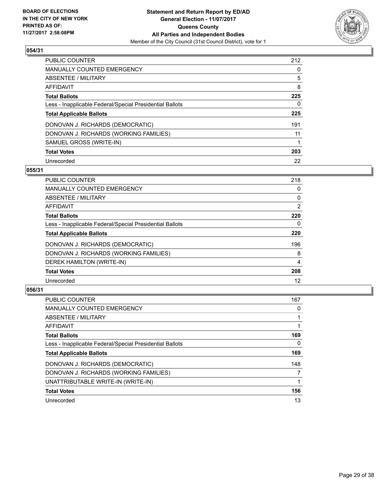

| <b>PUBLIC COUNTER</b>                                    | 212 |
|----------------------------------------------------------|-----|
| <b>MANUALLY COUNTED EMERGENCY</b>                        | 0   |
| ABSENTEE / MILITARY                                      | 5   |
| AFFIDAVIT                                                | 8   |
| <b>Total Ballots</b>                                     | 225 |
| Less - Inapplicable Federal/Special Presidential Ballots | 0   |
| <b>Total Applicable Ballots</b>                          | 225 |
| DONOVAN J. RICHARDS (DEMOCRATIC)                         | 191 |
| DONOVAN J. RICHARDS (WORKING FAMILIES)                   | 11  |
| SAMUEL GROSS (WRITE-IN)                                  |     |
| <b>Total Votes</b>                                       | 203 |
| Unrecorded                                               | 22  |

## **055/31**

| <b>PUBLIC COUNTER</b>                                    | 218 |
|----------------------------------------------------------|-----|
| <b>MANUALLY COUNTED EMERGENCY</b>                        | 0   |
| ABSENTEE / MILITARY                                      | 0   |
| <b>AFFIDAVIT</b>                                         | 2   |
| <b>Total Ballots</b>                                     | 220 |
| Less - Inapplicable Federal/Special Presidential Ballots | 0   |
| <b>Total Applicable Ballots</b>                          | 220 |
| DONOVAN J. RICHARDS (DEMOCRATIC)                         | 196 |
| DONOVAN J. RICHARDS (WORKING FAMILIES)                   | 8   |
| DEREK HAMILTON (WRITE-IN)                                | 4   |
| <b>Total Votes</b>                                       | 208 |
| Unrecorded                                               | 12  |

| <b>PUBLIC COUNTER</b>                                    | 167 |
|----------------------------------------------------------|-----|
| <b>MANUALLY COUNTED EMERGENCY</b>                        | 0   |
| ABSENTEE / MILITARY                                      |     |
| AFFIDAVIT                                                |     |
| <b>Total Ballots</b>                                     | 169 |
| Less - Inapplicable Federal/Special Presidential Ballots | 0   |
| <b>Total Applicable Ballots</b>                          | 169 |
| DONOVAN J. RICHARDS (DEMOCRATIC)                         | 148 |
| DONOVAN J. RICHARDS (WORKING FAMILIES)                   | 7   |
| UNATTRIBUTABLE WRITE-IN (WRITE-IN)                       |     |
| <b>Total Votes</b>                                       | 156 |
| Unrecorded                                               | 13  |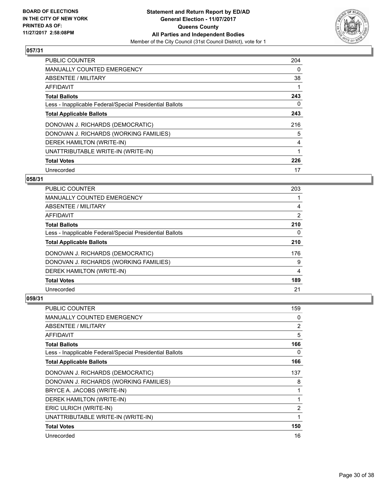

| <b>PUBLIC COUNTER</b>                                    | 204 |
|----------------------------------------------------------|-----|
| <b>MANUALLY COUNTED EMERGENCY</b>                        | 0   |
| ABSENTEE / MILITARY                                      | 38  |
| AFFIDAVIT                                                |     |
| <b>Total Ballots</b>                                     | 243 |
| Less - Inapplicable Federal/Special Presidential Ballots | 0   |
| <b>Total Applicable Ballots</b>                          | 243 |
| DONOVAN J. RICHARDS (DEMOCRATIC)                         | 216 |
| DONOVAN J. RICHARDS (WORKING FAMILIES)                   | 5   |
| DEREK HAMILTON (WRITE-IN)                                | 4   |
| UNATTRIBUTABLE WRITE-IN (WRITE-IN)                       | 1   |
| <b>Total Votes</b>                                       | 226 |
| Unrecorded                                               | 17  |

# **058/31**

| <b>PUBLIC COUNTER</b>                                    | 203 |
|----------------------------------------------------------|-----|
| <b>MANUALLY COUNTED EMERGENCY</b>                        |     |
| ABSENTEE / MILITARY                                      | 4   |
| <b>AFFIDAVIT</b>                                         | 2   |
| <b>Total Ballots</b>                                     | 210 |
| Less - Inapplicable Federal/Special Presidential Ballots | 0   |
| <b>Total Applicable Ballots</b>                          | 210 |
| DONOVAN J. RICHARDS (DEMOCRATIC)                         | 176 |
| DONOVAN J. RICHARDS (WORKING FAMILIES)                   | 9   |
| DEREK HAMILTON (WRITE-IN)                                | 4   |
| <b>Total Votes</b>                                       | 189 |
| Unrecorded                                               | 21  |

| <b>PUBLIC COUNTER</b>                                    | 159 |
|----------------------------------------------------------|-----|
| <b>MANUALLY COUNTED EMERGENCY</b>                        | 0   |
| ABSENTEE / MILITARY                                      | 2   |
| AFFIDAVIT                                                | 5   |
| <b>Total Ballots</b>                                     | 166 |
| Less - Inapplicable Federal/Special Presidential Ballots | 0   |
| <b>Total Applicable Ballots</b>                          | 166 |
| DONOVAN J. RICHARDS (DEMOCRATIC)                         | 137 |
| DONOVAN J. RICHARDS (WORKING FAMILIES)                   | 8   |
| BRYCE A. JACOBS (WRITE-IN)                               | 1   |
| DEREK HAMILTON (WRITE-IN)                                |     |
| ERIC ULRICH (WRITE-IN)                                   | 2   |
| UNATTRIBUTABLE WRITE-IN (WRITE-IN)                       | 1   |
| <b>Total Votes</b>                                       | 150 |
| Unrecorded                                               | 16  |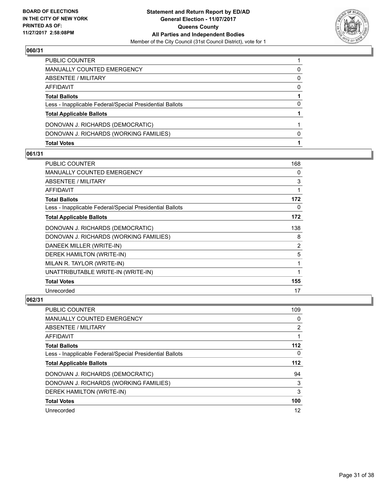

| <b>Total Votes</b>                                       |   |
|----------------------------------------------------------|---|
| DONOVAN J. RICHARDS (WORKING FAMILIES)                   | 0 |
| DONOVAN J. RICHARDS (DEMOCRATIC)                         |   |
| <b>Total Applicable Ballots</b>                          |   |
| Less - Inapplicable Federal/Special Presidential Ballots | 0 |
| <b>Total Ballots</b>                                     |   |
| AFFIDAVIT                                                | 0 |
| ABSENTEE / MILITARY                                      | 0 |
| MANUALLY COUNTED EMERGENCY                               | 0 |
| PUBLIC COUNTER                                           |   |

## **061/31**

| <b>PUBLIC COUNTER</b>                                    | 168 |
|----------------------------------------------------------|-----|
| <b>MANUALLY COUNTED EMERGENCY</b>                        | 0   |
| ABSENTEE / MILITARY                                      | 3   |
| <b>AFFIDAVIT</b>                                         | 1   |
| <b>Total Ballots</b>                                     | 172 |
| Less - Inapplicable Federal/Special Presidential Ballots | 0   |
| <b>Total Applicable Ballots</b>                          | 172 |
| DONOVAN J. RICHARDS (DEMOCRATIC)                         | 138 |
| DONOVAN J. RICHARDS (WORKING FAMILIES)                   | 8   |
| DANEEK MILLER (WRITE-IN)                                 | 2   |
| DEREK HAMILTON (WRITE-IN)                                | 5   |
| MILAN R. TAYLOR (WRITE-IN)                               | 1   |
| UNATTRIBUTABLE WRITE-IN (WRITE-IN)                       | 1   |
| <b>Total Votes</b>                                       | 155 |
| Unrecorded                                               | 17  |

| PUBLIC COUNTER                                           | 109            |
|----------------------------------------------------------|----------------|
| <b>MANUALLY COUNTED EMERGENCY</b>                        | 0              |
| ABSENTEE / MILITARY                                      | $\overline{2}$ |
| AFFIDAVIT                                                |                |
| <b>Total Ballots</b>                                     | $112$          |
| Less - Inapplicable Federal/Special Presidential Ballots | 0              |
| <b>Total Applicable Ballots</b>                          | $112$          |
| DONOVAN J. RICHARDS (DEMOCRATIC)                         | 94             |
| DONOVAN J. RICHARDS (WORKING FAMILIES)                   | 3              |
| DEREK HAMILTON (WRITE-IN)                                | 3              |
| <b>Total Votes</b>                                       | 100            |
| Unrecorded                                               | 12             |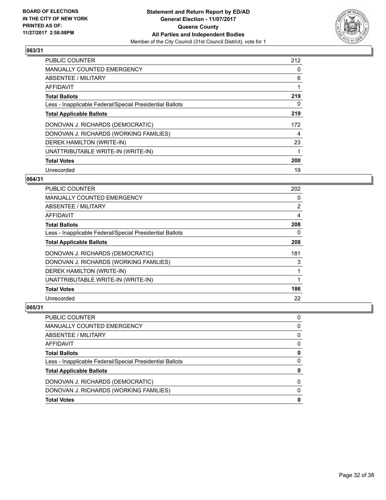

| <b>PUBLIC COUNTER</b>                                    | 212 |
|----------------------------------------------------------|-----|
| <b>MANUALLY COUNTED EMERGENCY</b>                        | 0   |
| ABSENTEE / MILITARY                                      | 6   |
| <b>AFFIDAVIT</b>                                         |     |
| <b>Total Ballots</b>                                     | 219 |
| Less - Inapplicable Federal/Special Presidential Ballots | 0   |
| <b>Total Applicable Ballots</b>                          | 219 |
| DONOVAN J. RICHARDS (DEMOCRATIC)                         | 172 |
| DONOVAN J. RICHARDS (WORKING FAMILIES)                   | 4   |
| DEREK HAMILTON (WRITE-IN)                                | 23  |
| UNATTRIBUTABLE WRITE-IN (WRITE-IN)                       | 1   |
| <b>Total Votes</b>                                       | 200 |
| Unrecorded                                               | 19  |

# **064/31**

| PUBLIC COUNTER                                           | 202 |
|----------------------------------------------------------|-----|
| MANUALLY COUNTED EMERGENCY                               | 0   |
| ABSENTEE / MILITARY                                      | 2   |
| AFFIDAVIT                                                | 4   |
| <b>Total Ballots</b>                                     | 208 |
| Less - Inapplicable Federal/Special Presidential Ballots | 0   |
| <b>Total Applicable Ballots</b>                          | 208 |
| DONOVAN J. RICHARDS (DEMOCRATIC)                         | 181 |
| DONOVAN J. RICHARDS (WORKING FAMILIES)                   | 3   |
| DEREK HAMILTON (WRITE-IN)                                |     |
| UNATTRIBUTABLE WRITE-IN (WRITE-IN)                       | 1   |
| <b>Total Votes</b>                                       | 186 |
| Unrecorded                                               | 22  |

| PUBLIC COUNTER                                           |   |
|----------------------------------------------------------|---|
| <b>MANUALLY COUNTED EMERGENCY</b>                        | 0 |
| ABSENTEE / MILITARY                                      | 0 |
| AFFIDAVIT                                                | 0 |
| <b>Total Ballots</b>                                     |   |
| Less - Inapplicable Federal/Special Presidential Ballots | 0 |
| <b>Total Applicable Ballots</b>                          |   |
| DONOVAN J. RICHARDS (DEMOCRATIC)                         | 0 |
| DONOVAN J. RICHARDS (WORKING FAMILIES)                   | 0 |
| <b>Total Votes</b>                                       |   |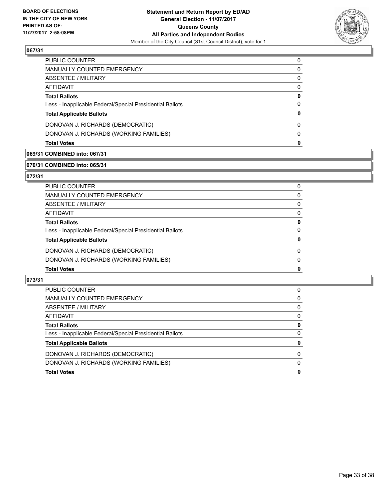

| PUBLIC COUNTER                                           | 0        |
|----------------------------------------------------------|----------|
| <b>MANUALLY COUNTED EMERGENCY</b>                        | 0        |
| <b>ABSENTEE / MILITARY</b>                               | 0        |
| AFFIDAVIT                                                | 0        |
| <b>Total Ballots</b>                                     | 0        |
| Less - Inapplicable Federal/Special Presidential Ballots | 0        |
| <b>Total Applicable Ballots</b>                          | 0        |
| DONOVAN J. RICHARDS (DEMOCRATIC)                         | 0        |
| DONOVAN J. RICHARDS (WORKING FAMILIES)                   | $\Omega$ |
| <b>Total Votes</b>                                       | o        |
|                                                          |          |

# **069/31 COMBINED into: 067/31**

## **070/31 COMBINED into: 065/31**

# **072/31**

| PUBLIC COUNTER                                           | 0            |
|----------------------------------------------------------|--------------|
| MANUALLY COUNTED EMERGENCY                               | 0            |
| <b>ABSENTEE / MILITARY</b>                               | $\mathbf{0}$ |
| AFFIDAVIT                                                | $\mathbf{0}$ |
| <b>Total Ballots</b>                                     | 0            |
| Less - Inapplicable Federal/Special Presidential Ballots | $\mathbf{0}$ |
| <b>Total Applicable Ballots</b>                          | $\mathbf 0$  |
| DONOVAN J. RICHARDS (DEMOCRATIC)                         | $\Omega$     |
| DONOVAN J. RICHARDS (WORKING FAMILIES)                   | $\mathbf{0}$ |
| <b>Total Votes</b>                                       | 0            |
|                                                          |              |

| <b>Total Votes</b>                                       | 0            |
|----------------------------------------------------------|--------------|
| DONOVAN J. RICHARDS (WORKING FAMILIES)                   | 0            |
| DONOVAN J. RICHARDS (DEMOCRATIC)                         | <sup>0</sup> |
| <b>Total Applicable Ballots</b>                          | 0            |
| Less - Inapplicable Federal/Special Presidential Ballots | 0            |
| <b>Total Ballots</b>                                     | 0            |
| AFFIDAVIT                                                | 0            |
| ABSENTEE / MILITARY                                      | 0            |
| MANUALLY COUNTED EMERGENCY                               | 0            |
| PUBLIC COUNTER                                           | 0            |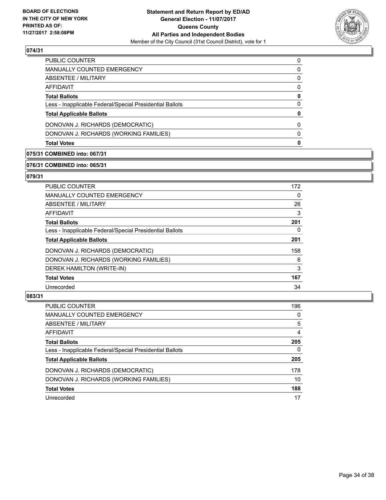

| <b>Total Votes</b>                                       | 0        |
|----------------------------------------------------------|----------|
| DONOVAN J. RICHARDS (WORKING FAMILIES)                   | $\Omega$ |
| DONOVAN J. RICHARDS (DEMOCRATIC)                         | 0        |
| <b>Total Applicable Ballots</b>                          | 0        |
| Less - Inapplicable Federal/Special Presidential Ballots | 0        |
| <b>Total Ballots</b>                                     | 0        |
| AFFIDAVIT                                                | 0        |
| ABSENTEE / MILITARY                                      | 0        |
| <b>MANUALLY COUNTED EMERGENCY</b>                        | 0        |
| PUBLIC COUNTER                                           | 0        |

# **075/31 COMBINED into: 067/31**

## **076/31 COMBINED into: 065/31**

# **079/31**

| PUBLIC COUNTER                                           | 172 |
|----------------------------------------------------------|-----|
| <b>MANUALLY COUNTED EMERGENCY</b>                        | 0   |
| ABSENTEE / MILITARY                                      | 26  |
| <b>AFFIDAVIT</b>                                         | 3   |
| <b>Total Ballots</b>                                     | 201 |
| Less - Inapplicable Federal/Special Presidential Ballots | 0   |
| <b>Total Applicable Ballots</b>                          | 201 |
| DONOVAN J. RICHARDS (DEMOCRATIC)                         | 158 |
| DONOVAN J. RICHARDS (WORKING FAMILIES)                   | 6   |
| DEREK HAMILTON (WRITE-IN)                                | 3   |
| <b>Total Votes</b>                                       | 167 |
| Unrecorded                                               | 34  |
|                                                          |     |

| PUBLIC COUNTER                                           | 196 |
|----------------------------------------------------------|-----|
| <b>MANUALLY COUNTED EMERGENCY</b>                        | 0   |
| ABSENTEE / MILITARY                                      | 5   |
| AFFIDAVIT                                                | 4   |
| <b>Total Ballots</b>                                     | 205 |
| Less - Inapplicable Federal/Special Presidential Ballots | 0   |
| <b>Total Applicable Ballots</b>                          | 205 |
| DONOVAN J. RICHARDS (DEMOCRATIC)                         | 178 |
| DONOVAN J. RICHARDS (WORKING FAMILIES)                   | 10  |
| <b>Total Votes</b>                                       | 188 |
| Unrecorded                                               | 17  |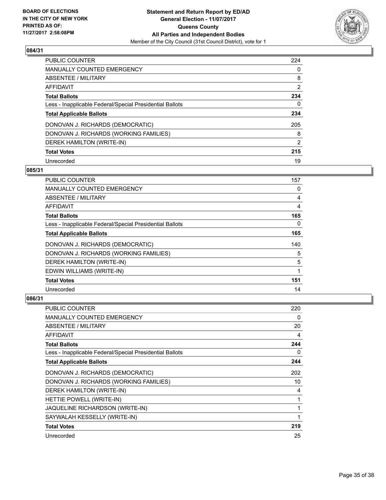

| <b>PUBLIC COUNTER</b>                                    | 224 |
|----------------------------------------------------------|-----|
| <b>MANUALLY COUNTED EMERGENCY</b>                        | 0   |
| ABSENTEE / MILITARY                                      | 8   |
| AFFIDAVIT                                                | 2   |
| <b>Total Ballots</b>                                     | 234 |
| Less - Inapplicable Federal/Special Presidential Ballots | 0   |
| <b>Total Applicable Ballots</b>                          | 234 |
| DONOVAN J. RICHARDS (DEMOCRATIC)                         | 205 |
| DONOVAN J. RICHARDS (WORKING FAMILIES)                   | 8   |
| DEREK HAMILTON (WRITE-IN)                                | 2   |
| <b>Total Votes</b>                                       | 215 |
| Unrecorded                                               | 19  |

## **085/31**

| PUBLIC COUNTER                                           | 157      |
|----------------------------------------------------------|----------|
| <b>MANUALLY COUNTED EMERGENCY</b>                        | 0        |
| ABSENTEE / MILITARY                                      | 4        |
| AFFIDAVIT                                                | 4        |
| <b>Total Ballots</b>                                     | 165      |
| Less - Inapplicable Federal/Special Presidential Ballots | $\Omega$ |
| <b>Total Applicable Ballots</b>                          | 165      |
| DONOVAN J. RICHARDS (DEMOCRATIC)                         | 140      |
| DONOVAN J. RICHARDS (WORKING FAMILIES)                   | 5        |
| DEREK HAMILTON (WRITE-IN)                                | 5        |
| EDWIN WILLIAMS (WRITE-IN)                                | 1        |
| <b>Total Votes</b>                                       | 151      |
| Unrecorded                                               | 14       |

| PUBLIC COUNTER                                           | 220 |
|----------------------------------------------------------|-----|
| <b>MANUALLY COUNTED EMERGENCY</b>                        | 0   |
| ABSENTEE / MILITARY                                      | 20  |
| AFFIDAVIT                                                | 4   |
| <b>Total Ballots</b>                                     | 244 |
| Less - Inapplicable Federal/Special Presidential Ballots | 0   |
| <b>Total Applicable Ballots</b>                          | 244 |
| DONOVAN J. RICHARDS (DEMOCRATIC)                         | 202 |
| DONOVAN J. RICHARDS (WORKING FAMILIES)                   | 10  |
| DEREK HAMILTON (WRITE-IN)                                | 4   |
| HETTIE POWELL (WRITE-IN)                                 | 1   |
| JAQUELINE RICHARDSON (WRITE-IN)                          |     |
| SAYWALAH KESSELLY (WRITE-IN)                             | 1   |
| <b>Total Votes</b>                                       | 219 |
| Unrecorded                                               | 25  |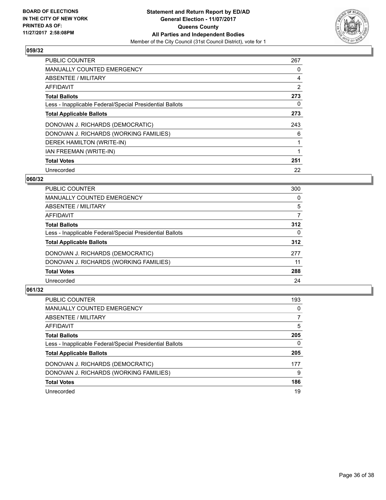

| <b>PUBLIC COUNTER</b>                                    | 267 |
|----------------------------------------------------------|-----|
| <b>MANUALLY COUNTED EMERGENCY</b>                        | 0   |
| ABSENTEE / MILITARY                                      | 4   |
| AFFIDAVIT                                                | 2   |
| <b>Total Ballots</b>                                     | 273 |
| Less - Inapplicable Federal/Special Presidential Ballots | 0   |
| <b>Total Applicable Ballots</b>                          | 273 |
| DONOVAN J. RICHARDS (DEMOCRATIC)                         | 243 |
| DONOVAN J. RICHARDS (WORKING FAMILIES)                   | 6   |
| DEREK HAMILTON (WRITE-IN)                                |     |
| IAN FREEMAN (WRITE-IN)                                   |     |
| <b>Total Votes</b>                                       | 251 |
| Unrecorded                                               | 22  |

# **060/32**

| <b>PUBLIC COUNTER</b>                                    | 300 |
|----------------------------------------------------------|-----|
| <b>MANUALLY COUNTED EMERGENCY</b>                        | 0   |
| ABSENTEE / MILITARY                                      | 5   |
| <b>AFFIDAVIT</b>                                         | 7   |
| <b>Total Ballots</b>                                     | 312 |
| Less - Inapplicable Federal/Special Presidential Ballots | 0   |
| <b>Total Applicable Ballots</b>                          | 312 |
| DONOVAN J. RICHARDS (DEMOCRATIC)                         | 277 |
| DONOVAN J. RICHARDS (WORKING FAMILIES)                   | 11  |
| <b>Total Votes</b>                                       | 288 |
| Unrecorded                                               | 24  |

| <b>PUBLIC COUNTER</b>                                    | 193 |
|----------------------------------------------------------|-----|
| MANUALLY COUNTED EMERGENCY                               | 0   |
| ABSENTEE / MILITARY                                      |     |
| AFFIDAVIT                                                | 5   |
| <b>Total Ballots</b>                                     | 205 |
| Less - Inapplicable Federal/Special Presidential Ballots | 0   |
| <b>Total Applicable Ballots</b>                          | 205 |
| DONOVAN J. RICHARDS (DEMOCRATIC)                         | 177 |
| DONOVAN J. RICHARDS (WORKING FAMILIES)                   | 9   |
| <b>Total Votes</b>                                       | 186 |
| Unrecorded                                               | 19  |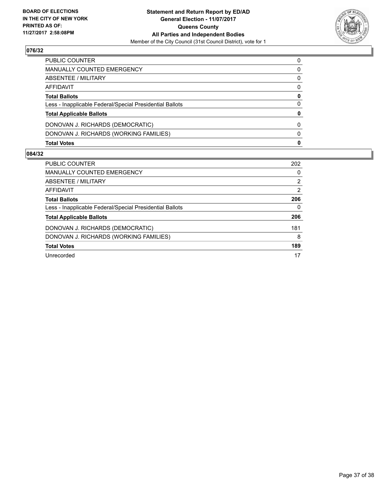

| <b>Total Votes</b>                                       | 0 |
|----------------------------------------------------------|---|
| DONOVAN J. RICHARDS (WORKING FAMILIES)                   | 0 |
| DONOVAN J. RICHARDS (DEMOCRATIC)                         | 0 |
| <b>Total Applicable Ballots</b>                          | 0 |
| Less - Inapplicable Federal/Special Presidential Ballots | 0 |
| <b>Total Ballots</b>                                     | 0 |
| AFFIDAVIT                                                | 0 |
| <b>ABSENTEE / MILITARY</b>                               | 0 |
| <b>MANUALLY COUNTED EMERGENCY</b>                        | 0 |
| PUBLIC COUNTER                                           | 0 |

| <b>PUBLIC COUNTER</b>                                    | 202 |
|----------------------------------------------------------|-----|
| <b>MANUALLY COUNTED EMERGENCY</b>                        | 0   |
| ABSENTEE / MILITARY                                      | 2   |
| AFFIDAVIT                                                | 2   |
| <b>Total Ballots</b>                                     | 206 |
| Less - Inapplicable Federal/Special Presidential Ballots | 0   |
| <b>Total Applicable Ballots</b>                          | 206 |
| DONOVAN J. RICHARDS (DEMOCRATIC)                         | 181 |
| DONOVAN J. RICHARDS (WORKING FAMILIES)                   | 8   |
| <b>Total Votes</b>                                       | 189 |
| Unrecorded                                               | 17  |